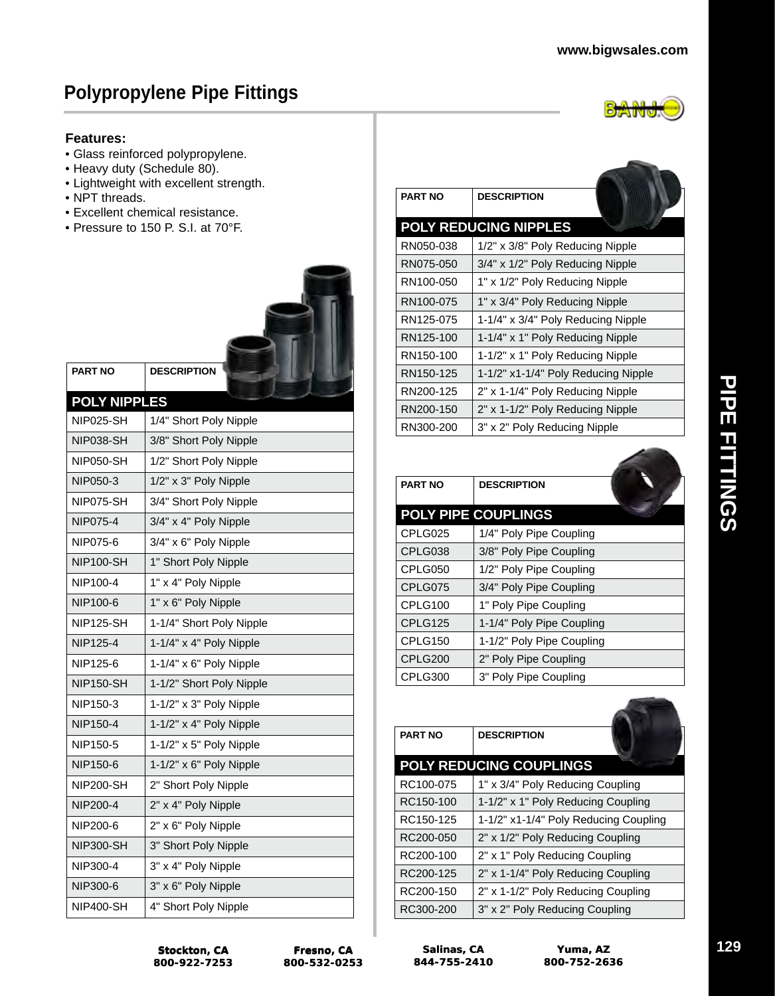#### **Features:**

- Glass reinforced polypropylene.
- Heavy duty (Schedule 80).
- Lightweight with excellent strength.
- NPT threads.
- Excellent chemical resistance.
- Pressure to 150 P. S.I. at 70°F.



| <b>Features:</b>    | • Glass reinforced polypropylene.<br>• Heavy duty (Schedule 80).<br>• Lightweight with excellent strength. |                        |               |
|---------------------|------------------------------------------------------------------------------------------------------------|------------------------|---------------|
| • NPT threads.      |                                                                                                            | <b>PART NO</b>         | DE:           |
|                     | · Excellent chemical resistance.<br>• Pressure to 150 P. S.I. at 70°F.                                     | <b>POLY REDUCII</b>    |               |
|                     |                                                                                                            | RN050-038              | 1/2           |
|                     |                                                                                                            | RN075-050              | 3/4           |
|                     |                                                                                                            | RN100-050              | $1"$ )        |
|                     |                                                                                                            | RN100-075              | $1"$ )        |
|                     |                                                                                                            | RN125-075              | $1 - 1$       |
|                     |                                                                                                            | RN125-100              | $1 - 1$       |
|                     |                                                                                                            | RN150-100              | $1 - 1$       |
| <b>PART NO</b>      | <b>DESCRIPTION</b>                                                                                         | RN150-125              | $1 - 1$       |
| <b>POLY NIPPLES</b> |                                                                                                            | RN200-125              | $2"$ )        |
| <b>NIP025-SH</b>    | 1/4" Short Poly Nipple                                                                                     | RN200-150              | $2"$ )        |
| <b>NIP038-SH</b>    | 3/8" Short Poly Nipple                                                                                     | RN300-200              | $3"$ )        |
| <b>NIP050-SH</b>    | 1/2" Short Poly Nipple                                                                                     |                        |               |
| NIP050-3            | 1/2" x 3" Poly Nipple                                                                                      |                        |               |
| NIP075-SH           | 3/4" Short Poly Nipple                                                                                     | <b>PART NO</b>         | <b>DE</b>     |
| NIP075-4            | 3/4" x 4" Poly Nipple                                                                                      | <b>POLY PIPE CO</b>    |               |
| NIP075-6            | 3/4" x 6" Poly Nipple                                                                                      | CPLG025                | 1/4           |
| <b>NIP100-SH</b>    | 1" Short Poly Nipple                                                                                       | CPLG038                | 3/8           |
| NIP100-4            | 1" x 4" Poly Nipple                                                                                        | CPLG050                | 1/2           |
| NIP100-6            | 1" x 6" Poly Nipple                                                                                        | CPLG075                | 3/4           |
| <b>NIP125-SH</b>    | 1-1/4" Short Poly Nipple                                                                                   | CPLG100<br>CPLG125     | 1"<br>$1 - 1$ |
| NIP125-4            | 1-1/4" x 4" Poly Nipple                                                                                    | CPLG150                | 1-1           |
|                     |                                                                                                            | CPLG200                | 2"            |
| NIP125-6            | $1-1/4" \times 6"$ Poly Nipple                                                                             | CPLG300                | 3"            |
| <b>NIP150-SH</b>    | 1-1/2" Short Poly Nipple                                                                                   |                        |               |
| NIP150-3            | 1-1/2" x 3" Poly Nipple                                                                                    |                        |               |
| NIP150-4            | $1-1/2"$ x 4" Poly Nipple                                                                                  | <b>PART NO</b>         | DE:           |
| NIP150-5            | $1-1/2" \times 5"$ Poly Nipple                                                                             |                        |               |
| NIP150-6            | $1-1/2" \times 6"$ Poly Nipple                                                                             | <b>POLY REDUCII</b>    |               |
| <b>NIP200-SH</b>    | 2" Short Poly Nipple                                                                                       | RC100-075              | 1"            |
| NIP200-4            | 2" x 4" Poly Nipple                                                                                        | RC150-100              | $1 - 1$       |
| NIP200-6            | 2" x 6" Poly Nipple                                                                                        | RC150-125              | $1 - 1$<br>2" |
| <b>NIP300-SH</b>    | 3" Short Poly Nipple                                                                                       | RC200-050<br>RC200-100 | ر "2          |
| NIP300-4            | 3" x 4" Poly Nipple                                                                                        | RC200-125              | 2"            |
| NIP300-6            | 3" x 6" Poly Nipple                                                                                        | RC200-150              | 2"            |
| <b>NIP400-SH</b>    | 4" Short Poly Nipple                                                                                       | RC300-200              | 3"            |

| <b>PART NO</b> | <b>DESCRIPTION</b>                  |  |
|----------------|-------------------------------------|--|
|                | <b>POLY REDUCING NIPPLES</b>        |  |
| RN050-038      | 1/2" x 3/8" Poly Reducing Nipple    |  |
| RN075-050      | 3/4" x 1/2" Poly Reducing Nipple    |  |
| RN100-050      | 1" x 1/2" Poly Reducing Nipple      |  |
| RN100-075      | 1" x 3/4" Poly Reducing Nipple      |  |
| RN125-075      | 1-1/4" x 3/4" Poly Reducing Nipple  |  |
| RN125-100      | 1-1/4" x 1" Poly Reducing Nipple    |  |
| RN150-100      | 1-1/2" x 1" Poly Reducing Nipple    |  |
| RN150-125      | 1-1/2" x1-1/4" Poly Reducing Nipple |  |
| RN200-125      | 2" x 1-1/4" Poly Reducing Nipple    |  |
| RN200-150      | 2" x 1-1/2" Poly Reducing Nipple    |  |
| RN300-200      | 3" x 2" Poly Reducing Nipple        |  |

| <b>PART NO</b> | <b>DESCRIPTION</b>         |
|----------------|----------------------------|
|                | <b>POLY PIPE COUPLINGS</b> |
| CPLG025        | 1/4" Poly Pipe Coupling    |
| CPLG038        | 3/8" Poly Pipe Coupling    |
| CPLG050        | 1/2" Poly Pipe Coupling    |
| CPLG075        | 3/4" Poly Pipe Coupling    |
| CPLG100        | 1" Poly Pipe Coupling      |
| CPLG125        | 1-1/4" Poly Pipe Coupling  |
| CPLG150        | 1-1/2" Poly Pipe Coupling  |
| CPLG200        | 2" Poly Pipe Coupling      |
| CPLG300        | 3" Poly Pipe Coupling      |

| <b>PART NO</b> | <b>DESCRIPTION</b>                    |
|----------------|---------------------------------------|
|                | <b>POLY REDUCING COUPLINGS</b>        |
| RC100-075      | 1" x 3/4" Poly Reducing Coupling      |
| RC150-100      | 1-1/2" x 1" Poly Reducing Coupling    |
| RC150-125      | 1-1/2" x1-1/4" Poly Reducing Coupling |
| RC200-050      | 2" x 1/2" Poly Reducing Coupling      |
| RC200-100      | 2" x 1" Poly Reducing Coupling        |
| RC200-125      | 2" x 1-1/4" Poly Reducing Coupling    |
| RC200-150      | 2" x 1-1/2" Poly Reducing Coupling    |
| RC300-200      | 3" x 2" Poly Reducing Coupling        |

**Stockton, CA 800-922-7253 Stockton, 800-922-7253**

**Salinas, CA 844-755-2410**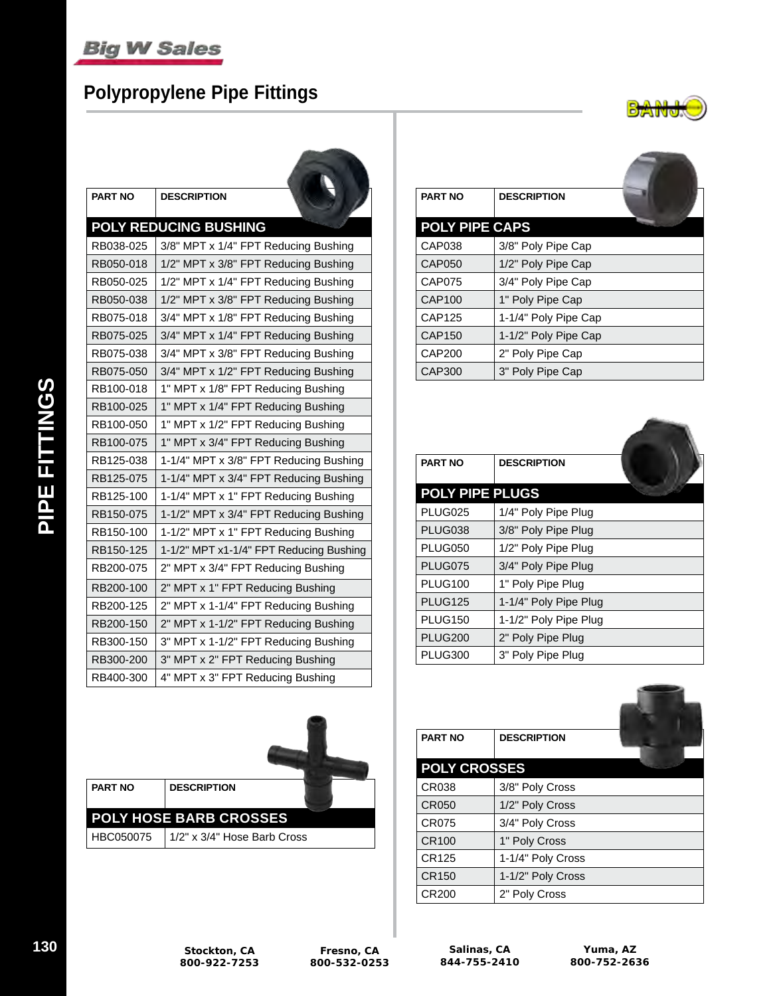# **Polypropylene Pipe Fittings**

**The Company's Company's Company's Company's Company's Company's Company's Company's Company's Company's Company's Company's Company's Company's Company's Company's Company's Company's Company's Company's Company's Company** 



| PART NO   | <b>DESCRIPTION</b>                      |
|-----------|-----------------------------------------|
|           | <b>POLY REDUCING BUSHING</b>            |
| RB038-025 | 3/8" MPT x 1/4" FPT Reducing Bushing    |
| RB050-018 | 1/2" MPT x 3/8" FPT Reducing Bushing    |
| RB050-025 | 1/2" MPT x 1/4" FPT Reducing Bushing    |
| RB050-038 | 1/2" MPT x 3/8" FPT Reducing Bushing    |
| RB075-018 | 3/4" MPT x 1/8" FPT Reducing Bushing    |
| RB075-025 | 3/4" MPT x 1/4" FPT Reducing Bushing    |
| RB075-038 | 3/4" MPT x 3/8" FPT Reducing Bushing    |
| RB075-050 | 3/4" MPT x 1/2" FPT Reducing Bushing    |
| RB100-018 | 1" MPT x 1/8" FPT Reducing Bushing      |
| RB100-025 | 1" MPT x 1/4" FPT Reducing Bushing      |
| RB100-050 | 1" MPT x 1/2" FPT Reducing Bushing      |
| RB100-075 | 1" MPT x 3/4" FPT Reducing Bushing      |
| RB125-038 | 1-1/4" MPT x 3/8" FPT Reducing Bushing  |
| RB125-075 | 1-1/4" MPT x 3/4" FPT Reducing Bushing  |
| RB125-100 | 1-1/4" MPT x 1" FPT Reducing Bushing    |
| RB150-075 | 1-1/2" MPT x 3/4" FPT Reducing Bushing  |
| RB150-100 | 1-1/2" MPT x 1" FPT Reducing Bushing    |
| RB150-125 | 1-1/2" MPT x1-1/4" FPT Reducing Bushing |
| RB200-075 | 2" MPT x 3/4" FPT Reducing Bushing      |
| RB200-100 | 2" MPT x 1" FPT Reducing Bushing        |
| RB200-125 | 2" MPT x 1-1/4" FPT Reducing Bushing    |
| RB200-150 | 2" MPT x 1-1/2" FPT Reducing Bushing    |
| RB300-150 | 3" MPT x 1-1/2" FPT Reducing Bushing    |
| RB300-200 | 3" MPT x 2" FPT Reducing Bushing        |
| RB400-300 | 4" MPT x 3" FPT Reducing Bushing        |

| <b>DESCRIPTION</b><br><b>PART NO</b> |           |                             |  |
|--------------------------------------|-----------|-----------------------------|--|
|                                      |           |                             |  |
|                                      | HBC050075 | 1/2" x 3/4" Hose Barb Cross |  |

| <b>PART NO</b>        | <b>DESCRIPTION</b>   |  |
|-----------------------|----------------------|--|
| <b>POLY PIPE CAPS</b> |                      |  |
| CAP038                | 3/8" Poly Pipe Cap   |  |
| <b>CAP050</b>         | 1/2" Poly Pipe Cap   |  |
| <b>CAP075</b>         | 3/4" Poly Pipe Cap   |  |
| CAP100                | 1" Poly Pipe Cap     |  |
| CAP125                | 1-1/4" Poly Pipe Cap |  |
| CAP150                | 1-1/2" Poly Pipe Cap |  |
| CAP200                | 2" Poly Pipe Cap     |  |
| <b>CAP300</b>         | 3" Poly Pipe Cap     |  |

| <b>PART NO</b>         | <b>DESCRIPTION</b>    |  |
|------------------------|-----------------------|--|
| <b>POLY PIPE PLUGS</b> |                       |  |
| PLUG025                | 1/4" Poly Pipe Plug   |  |
| PLUG038                | 3/8" Poly Pipe Plug   |  |
| <b>PLUG050</b>         | 1/2" Poly Pipe Plug   |  |
| PLUG075                | 3/4" Poly Pipe Plug   |  |
| PLUG100                | 1" Poly Pipe Plug     |  |
| <b>PLUG125</b>         | 1-1/4" Poly Pipe Plug |  |
| <b>PLUG150</b>         | 1-1/2" Poly Pipe Plug |  |
| <b>PLUG200</b>         | 2" Poly Pipe Plug     |  |
| PLUG300                | 3" Poly Pipe Plug     |  |

| <b>PART NO</b>      | <b>DESCRIPTION</b> |  |
|---------------------|--------------------|--|
| <b>POLY CROSSES</b> |                    |  |
| CR038               | 3/8" Poly Cross    |  |
| CR050               | 1/2" Poly Cross    |  |
| CR075               | 3/4" Poly Cross    |  |
| CR100               | 1" Poly Cross      |  |
| CR125               | 1-1/4" Poly Cross  |  |
| CR150               | 1-1/2" Poly Cross  |  |
| CR200               | 2" Poly Cross      |  |

 $\equiv$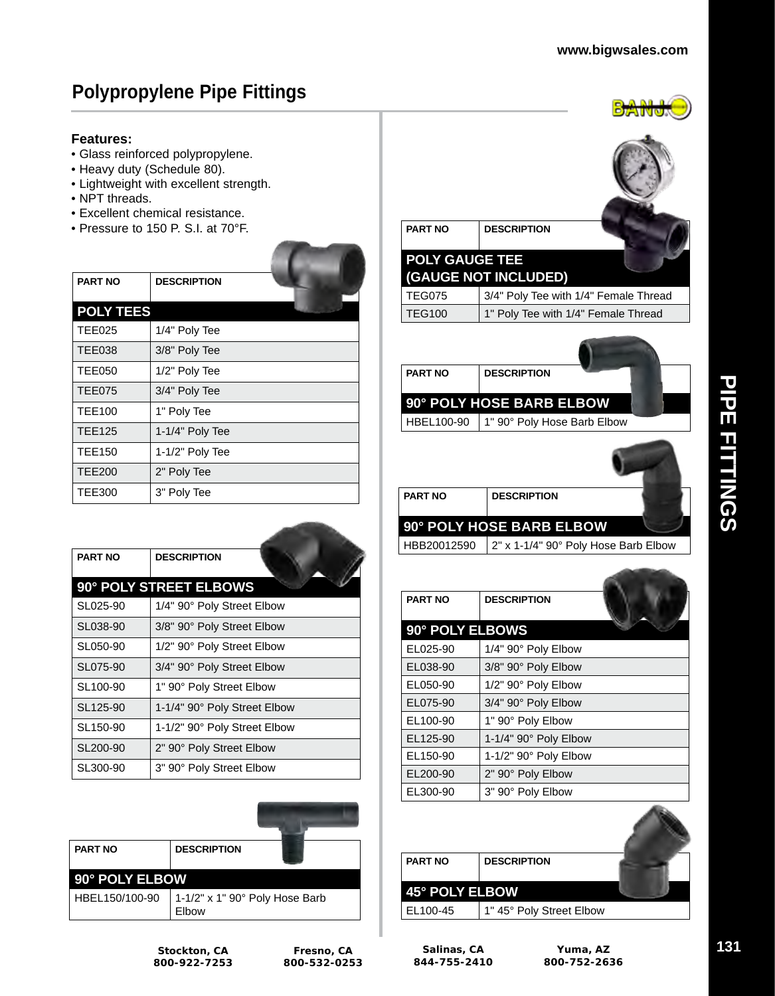$\rightarrow$ 

# **Polypropylene Pipe Fittings**

#### **Features:**

- Glass reinforced polypropylene.
- Heavy duty (Schedule 80).
- Lightweight with excellent strength.
- NPT threads.
- Excellent chemical resistance.
- Pressure to 150 P. S.I. at 70°F.

|                  |                    |  | FULI UAUUL ILL |                            |
|------------------|--------------------|--|----------------|----------------------------|
| <b>PART NO</b>   | <b>DESCRIPTION</b> |  |                | <b>(GAUGE NOT INCLUDED</b> |
|                  |                    |  | <b>TEG075</b>  | 3/4" Poly Tee w            |
| <b>POLY TEES</b> |                    |  | <b>TEG100</b>  | 1" Poly Tee witl           |
| <b>TEE025</b>    | 1/4" Poly Tee      |  |                |                            |
| <b>TEE038</b>    | 3/8" Poly Tee      |  |                |                            |
| <b>TEE050</b>    | 1/2" Poly Tee      |  | <b>PART NO</b> | <b>DESCRIPTION</b>         |
| TEE075           | 3/4" Poly Tee      |  |                |                            |
| <b>TEE100</b>    | 1" Poly Tee        |  |                | <b>90° POLY HOSE BARB</b>  |
| <b>TEE125</b>    | 1-1/4" Poly Tee    |  | HBEL100-90     | 1" 90° Poly Hos            |
| <b>TEE150</b>    | 1-1/2" Poly Tee    |  |                |                            |
| <b>TEE200</b>    | 2" Poly Tee        |  |                |                            |
| <b>TEE300</b>    | 3" Poly Tee        |  | <b>PART NO</b> | <b>DESCRIPTION</b>         |
|                  |                    |  |                |                            |

| <b>PART NO</b>       | <b>DESCRIPTION</b>           |
|----------------------|------------------------------|
|                      | 90° POLY STREET ELBOWS       |
| SL025-90             | 1/4" 90° Poly Street Elbow   |
| SL038-90             | 3/8" 90° Poly Street Elbow   |
| SL050-90             | 1/2" 90° Poly Street Elbow   |
| SL075-90             | 3/4" 90° Poly Street Elbow   |
| SL <sub>100-90</sub> | 1" 90° Poly Street Elbow     |
| SL125-90             | 1-1/4" 90° Poly Street Elbow |
| SL <sub>150-90</sub> | 1-1/2" 90° Poly Street Elbow |
| SL200-90             | 2" 90° Poly Street Elbow     |
| SL300-90             | 3" 90° Poly Street Elbow     |



| <b>PART NO</b><br><b>POLY GAUGE TEE</b><br><b>TEG075</b><br><b>TEG100</b> | <b>DESCRIPTION</b><br>(GAUGE NOT INCLUDED)<br>3/4" Poly Tee with 1/4" Female Thread<br>1" Poly Tee with 1/4" Female Thread |
|---------------------------------------------------------------------------|----------------------------------------------------------------------------------------------------------------------------|
| <b>PART NO</b><br>HBEL100-90                                              | <b>DESCRIPTION</b><br>90° POLY HOSE BARB ELBOW<br>1" 90° Poly Hose Barb Elbow                                              |
| <b>PART NO</b><br>HBB20012590                                             | <b>DESCRIPTION</b><br>90° POLY HOSE BARB ELBOW<br>2" x 1-1/4" 90° Poly Hose Barb Elbow                                     |
| <b>PART NO</b>                                                            | <b>DESCRIPTION</b>                                                                                                         |
| 90° POLY ELBOWS                                                           |                                                                                                                            |
| EL025-90                                                                  | 1/4" 90° Poly Elbow                                                                                                        |
| EL038-90                                                                  | 3/8" 90° Poly Elbow                                                                                                        |
| EL050-90                                                                  | 1/2" 90° Poly Elbow                                                                                                        |
| EL075-90                                                                  | 3/4" 90° Poly Elbow                                                                                                        |
| EL100-90                                                                  | 1" 90° Poly Elbow                                                                                                          |
| EL125-90                                                                  | 1-1/4" 90° Poly Elbow                                                                                                      |
| EL150-90                                                                  | 1-1/2" 90° Poly Elbow                                                                                                      |
| EL200-90                                                                  | 2" 90° Poly Elbow                                                                                                          |
| EL300-90                                                                  | 3" 90° Poly Elbow                                                                                                          |
| PART NO                                                                   | <b>DESCRIPTION</b>                                                                                                         |

| <b>PART NO</b> | <b>DESCRIPTION</b>       |  |
|----------------|--------------------------|--|
| 45° POLY ELBOW |                          |  |
| EL100-45       | 1" 45° Poly Street Elbow |  |

**Stockton, CA 800-922-7253**

**Salinas, CA 844-755-2410**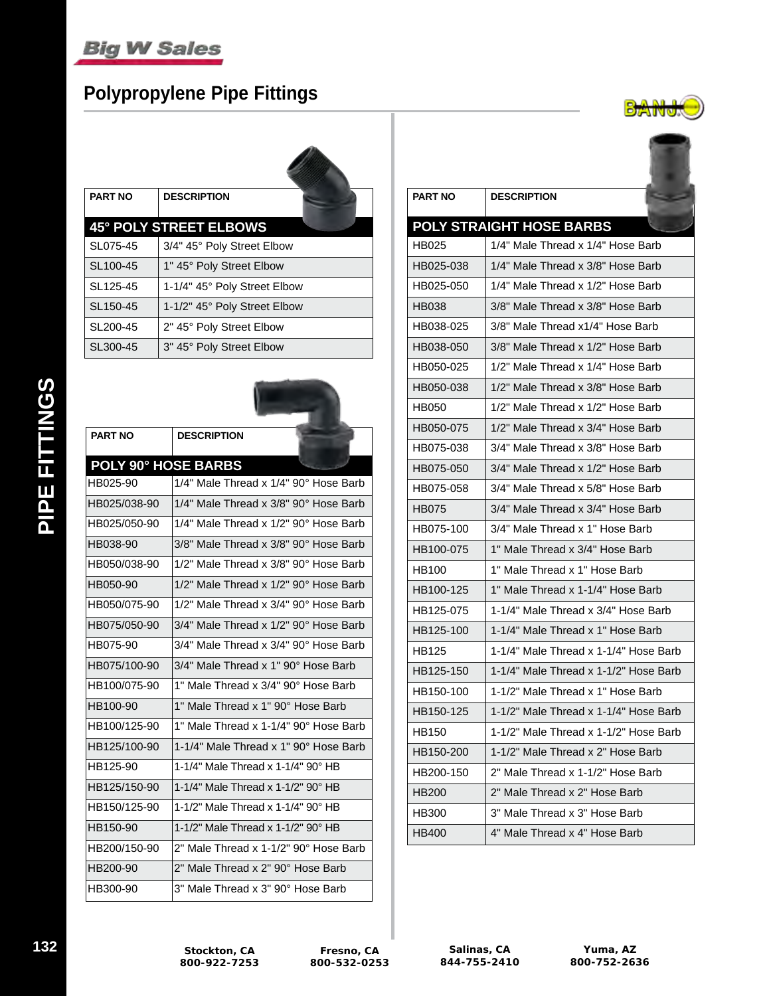# **Polypropylene Pipe Fittings**



| <b>PART NO</b>       | <b>DESCRIPTION</b>            |
|----------------------|-------------------------------|
|                      | <b>45° POLY STREET ELBOWS</b> |
| SL075-45             | 3/4" 45° Poly Street Elbow    |
| SL100-45             | 1" 45° Poly Street Elbow      |
| SL <sub>125-45</sub> | 1-1/4" 45° Poly Street Elbow  |
| SL150-45             | 1-1/2" 45° Poly Street Elbow  |
| SL200-45             | 2" 45° Poly Street Elbow      |
| SL300-45             | 3" 45° Poly Street Elbow      |

**Alling** 

| <b>PART NO</b>             | <b>DESCRIPTION</b>                    |
|----------------------------|---------------------------------------|
| <b>POLY 90° HOSE BARBS</b> |                                       |
| HB025-90                   | 1/4" Male Thread x 1/4" 90° Hose Barb |
| HB025/038-90               | 1/4" Male Thread x 3/8" 90° Hose Barb |
| HB025/050-90               | 1/4" Male Thread x 1/2" 90° Hose Barb |
| HB038-90                   | 3/8" Male Thread x 3/8" 90° Hose Barb |
| HB050/038-90               | 1/2" Male Thread x 3/8" 90° Hose Barb |
| HB050-90                   | 1/2" Male Thread x 1/2" 90° Hose Barb |
| HB050/075-90               | 1/2" Male Thread x 3/4" 90° Hose Barb |
| HB075/050-90               | 3/4" Male Thread x 1/2" 90° Hose Barb |
| HB075-90                   | 3/4" Male Thread x 3/4" 90° Hose Barb |
| HB075/100-90               | 3/4" Male Thread x 1" 90° Hose Barb   |
| HB100/075-90               | 1" Male Thread x 3/4" 90° Hose Barb   |
| HB100-90                   | 1" Male Thread x 1" 90° Hose Barb     |
| HB100/125-90               | 1" Male Thread x 1-1/4" 90° Hose Barb |
| HB125/100-90               | 1-1/4" Male Thread x 1" 90° Hose Barb |
| HB125-90                   | 1-1/4" Male Thread x 1-1/4" 90° HB    |
| HB125/150-90               | 1-1/4" Male Thread x 1-1/2" 90° HB    |
| HB150/125-90               | 1-1/2" Male Thread x 1-1/4" 90° HB    |
| HB150-90                   | 1-1/2" Male Thread x 1-1/2" 90° HB    |
| HB200/150-90               | 2" Male Thread x 1-1/2" 90° Hose Barb |
| HB200-90                   | 2" Male Thread x 2" 90° Hose Barb     |
| HB300-90                   | 3" Male Thread x 3" 90° Hose Barb     |

| <b>PART NO</b> | <b>DESCRIPTION</b>                    |
|----------------|---------------------------------------|
|                | <b>POLY STRAIGHT HOSE BARBS</b>       |
| HB025          | 1/4" Male Thread x 1/4" Hose Barb     |
| HB025-038      | 1/4" Male Thread x 3/8" Hose Barb     |
| HB025-050      | 1/4" Male Thread x 1/2" Hose Barb     |
| HB038          | 3/8" Male Thread x 3/8" Hose Barb     |
| HB038-025      | 3/8" Male Thread x1/4" Hose Barb      |
| HB038-050      | 3/8" Male Thread x 1/2" Hose Barb     |
| HB050-025      | 1/2" Male Thread x 1/4" Hose Barb     |
| HB050-038      | 1/2" Male Thread x 3/8" Hose Barb     |
| HB050          | 1/2" Male Thread x 1/2" Hose Barb     |
| HB050-075      | 1/2" Male Thread x 3/4" Hose Barb     |
| HB075-038      | 3/4" Male Thread x 3/8" Hose Barb     |
| HB075-050      | 3/4" Male Thread x 1/2" Hose Barb     |
| HB075-058      | 3/4" Male Thread x 5/8" Hose Barb     |
| HB075          | 3/4" Male Thread x 3/4" Hose Barb     |
| HB075-100      | 3/4" Male Thread x 1" Hose Barb       |
| HB100-075      | 1" Male Thread x 3/4" Hose Barb       |
| HB100          | 1" Male Thread x 1" Hose Barb         |
| HB100-125      | 1" Male Thread x 1-1/4" Hose Barb     |
| HB125-075      | 1-1/4" Male Thread x 3/4" Hose Barb   |
| HB125-100      | 1-1/4" Male Thread x 1" Hose Barb     |
| HB125          | 1-1/4" Male Thread x 1-1/4" Hose Barb |
| HB125-150      | 1-1/4" Male Thread x 1-1/2" Hose Barb |
| HB150-100      | 1-1/2" Male Thread x 1" Hose Barb     |
| HB150-125      | 1-1/2" Male Thread x 1-1/4" Hose Barb |
| <b>HB150</b>   | 1-1/2" Male Thread x 1-1/2" Hose Barb |
| HB150-200      | 1-1/2" Male Thread x 2" Hose Barb     |
| HB200-150      | 2" Male Thread x 1-1/2" Hose Barb     |
| <b>HB200</b>   | 2" Male Thread x 2" Hose Barb         |
| HB300          | 3" Male Thread x 3" Hose Barb         |
| <b>HB400</b>   | 4" Male Thread x 4" Hose Barb         |

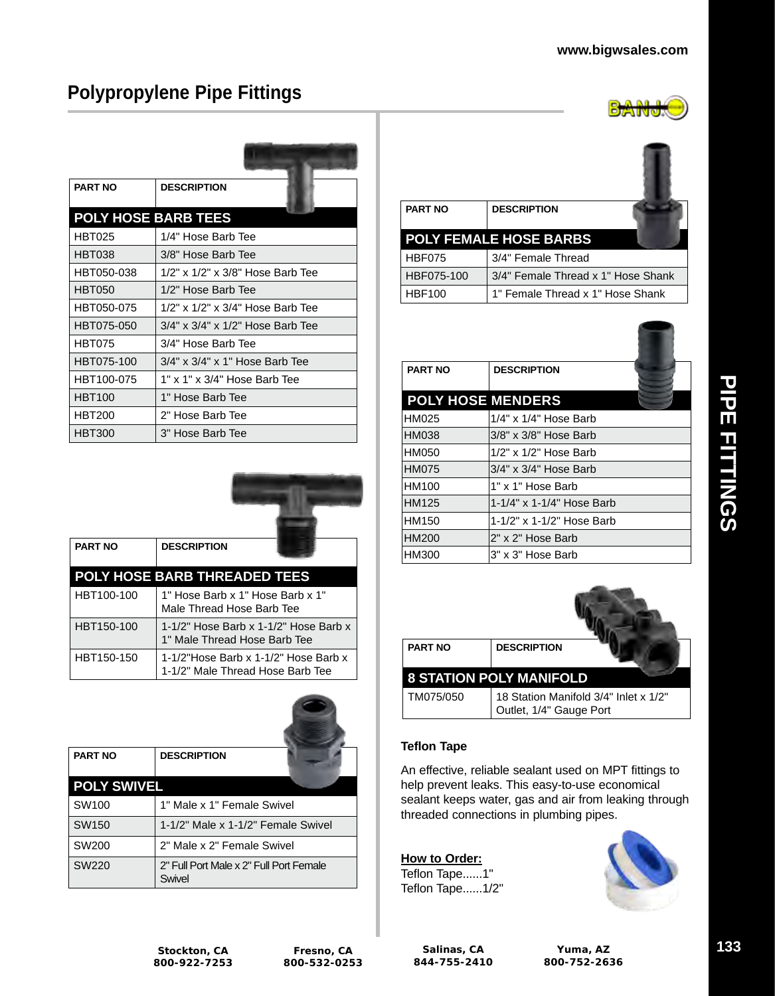# **Polypropylene Pipe Fittings**

| <b>PART NO</b>             | <b>DESCRIPTION</b>               |
|----------------------------|----------------------------------|
| <b>POLY HOSE BARB TEES</b> |                                  |
| <b>HBT025</b>              | 1/4" Hose Barb Tee               |
| <b>HBT038</b>              | 3/8" Hose Barb Tee               |
| HBT050-038                 | 1/2" x 1/2" x 3/8" Hose Barb Tee |
| <b>HBT050</b>              | 1/2" Hose Barb Tee               |
| HBT050-075                 | 1/2" x 1/2" x 3/4" Hose Barb Tee |
| HBT075-050                 | 3/4" x 3/4" x 1/2" Hose Barb Tee |
| <b>HBT075</b>              | 3/4" Hose Barb Tee               |
| HBT075-100                 | 3/4" x 3/4" x 1" Hose Barb Tee   |
| HBT100-075                 | 1" x 1" x 3/4" Hose Barb Tee     |
| <b>HBT100</b>              | 1" Hose Barb Tee                 |
| <b>HBT200</b>              | 2" Hose Barb Tee                 |
| <b>HBT300</b>              | 3" Hose Barb Tee                 |



| <b>PART NO</b> | <b>DESCRIPTION</b>                                                       |
|----------------|--------------------------------------------------------------------------|
|                | <b>POLY HOSE BARB THREADED TEES</b>                                      |
| HBT100-100     | 1" Hose Barb x 1" Hose Barb x 1"<br>Male Thread Hose Barb Tee            |
| HBT150-100     | 1-1/2" Hose Barb x 1-1/2" Hose Barb x<br>1" Male Thread Hose Barb Tee    |
| HBT150-150     | 1-1/2"Hose Barb x 1-1/2" Hose Barb x<br>1-1/2" Male Thread Hose Barb Tee |

| <b>PART NO</b>     | <b>DESCRIPTION</b>                                |
|--------------------|---------------------------------------------------|
| <b>POLY SWIVEL</b> |                                                   |
| SW <sub>100</sub>  | 1" Male x 1" Female Swivel                        |
| SW <sub>150</sub>  | 1-1/2" Male x 1-1/2" Female Swivel                |
| SW200              | 2" Male x 2" Female Swivel                        |
| SW220              | 2" Full Port Male x 2" Full Port Female<br>Swivel |

| <b>PART NO</b> | <b>DESCRIPTION</b><br><b>POLY FEMALE HOSE BARBS</b> |
|----------------|-----------------------------------------------------|
| <b>HBF075</b>  | 3/4" Female Thread                                  |
| HBF075-100     | 3/4" Female Thread x 1" Hose Shank                  |
| <b>HBF100</b>  | 1" Female Thread x 1" Hose Shank                    |

| <b>PART NO</b>           | <b>DESCRIPTION</b>          |
|--------------------------|-----------------------------|
| <b>POLY HOSE MENDERS</b> |                             |
| HM025                    | $1/4"$ x $1/4"$ Hose Barb   |
| <b>HM038</b>             | 3/8" x 3/8" Hose Barb       |
| HM050                    | $1/2$ " x $1/2$ " Hose Barb |
| <b>HM075</b>             | 3/4" x 3/4" Hose Barb       |
| HM100                    | 1" x 1" Hose Barb           |
| HM125                    | 1-1/4" x 1-1/4" Hose Barb   |
| HM150                    | 1-1/2" x 1-1/2" Hose Barb   |
| HM200                    | 2" x 2" Hose Barb           |
| HM300                    | 3" x 3" Hose Barb           |

| <b>PART NO</b>                 | <b>DESCRIPTION</b>                                               |
|--------------------------------|------------------------------------------------------------------|
| <b>8 STATION POLY MANIFOLD</b> |                                                                  |
| TM075/050                      | 18 Station Manifold 3/4" Inlet x 1/2"<br>Outlet, 1/4" Gauge Port |

#### **Teflon Tape**

An effective, reliable sealant used on MPT fittings to help prevent leaks. This easy-to-use economical sealant keeps water, gas and air from leaking through threaded connections in plumbing pipes.

**How to Order:** Teflon Tape......1" Teflon Tape......1/2"



**CONTRACTOR**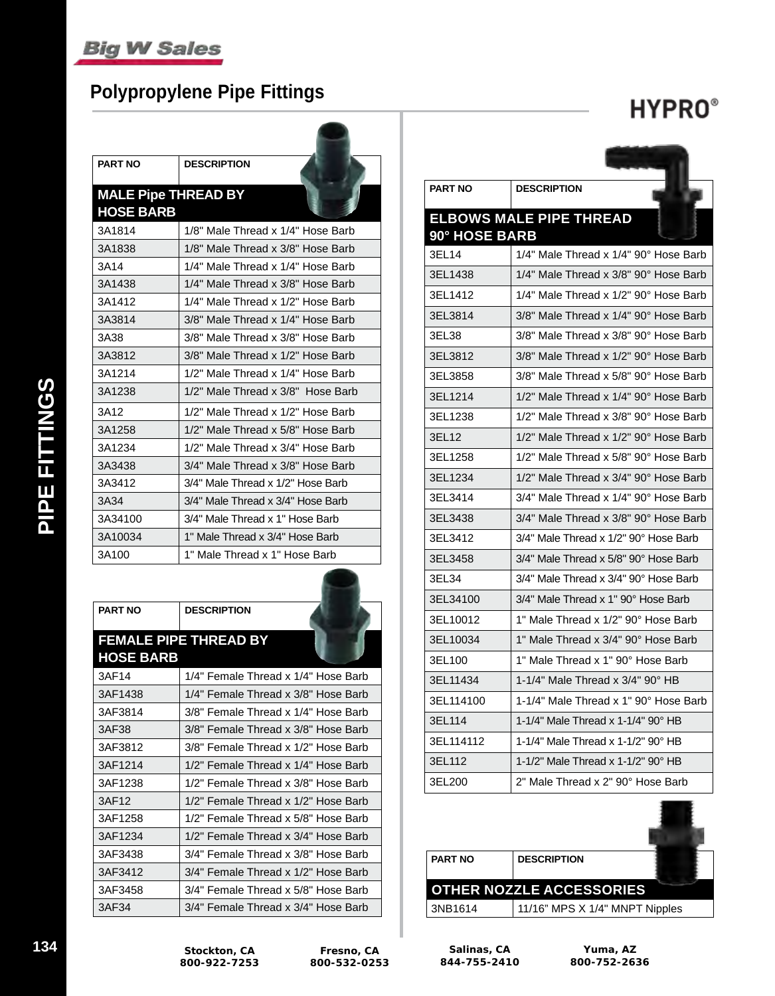## **Polypropylene Pipe Fittings**

# **HYPRO**®

| <b>PART NO</b>             | <b>DESCRIPTION</b>                |
|----------------------------|-----------------------------------|
| <b>MALE Pipe THREAD BY</b> |                                   |
| <b>HOSE BARB</b>           |                                   |
| 3A1814                     | 1/8" Male Thread x 1/4" Hose Barb |
| 3A1838                     | 1/8" Male Thread x 3/8" Hose Barb |
| 3A14                       | 1/4" Male Thread x 1/4" Hose Barb |
| 3A1438                     | 1/4" Male Thread x 3/8" Hose Barb |
| 3A1412                     | 1/4" Male Thread x 1/2" Hose Barb |
| 3A3814                     | 3/8" Male Thread x 1/4" Hose Barb |
| 3A38                       | 3/8" Male Thread x 3/8" Hose Barb |
| 3A3812                     | 3/8" Male Thread x 1/2" Hose Barb |
| 3A1214                     | 1/2" Male Thread x 1/4" Hose Barb |
| 3A1238                     | 1/2" Male Thread x 3/8" Hose Barb |
| 3A12                       | 1/2" Male Thread x 1/2" Hose Barb |
| 3A1258                     | 1/2" Male Thread x 5/8" Hose Barb |
| 3A1234                     | 1/2" Male Thread x 3/4" Hose Barb |
| 3A3438                     | 3/4" Male Thread x 3/8" Hose Barb |
| 3A3412                     | 3/4" Male Thread x 1/2" Hose Barb |
| 3A34                       | 3/4" Male Thread x 3/4" Hose Barb |
| 3A34100                    | 3/4" Male Thread x 1" Hose Barb   |
| 3A10034                    | 1" Male Thread x 3/4" Hose Barb   |
| 3A100                      | 1" Male Thread x 1" Hose Barb     |

| <b>PART NO</b>   | <b>DESCRIPTION</b>                  |
|------------------|-------------------------------------|
| <b>HOSE BARB</b> | <b>FEMALE PIPE THREAD BY</b>        |
| 3AF14            | 1/4" Female Thread x 1/4" Hose Barb |
| 3AF1438          | 1/4" Female Thread x 3/8" Hose Barb |
| 3AF3814          | 3/8" Female Thread x 1/4" Hose Barb |
| 3AF38            | 3/8" Female Thread x 3/8" Hose Barb |
| 3AF3812          | 3/8" Female Thread x 1/2" Hose Barb |
| 3AF1214          | 1/2" Female Thread x 1/4" Hose Barb |
| 3AF1238          | 1/2" Female Thread x 3/8" Hose Barb |
| 3AF12            | 1/2" Female Thread x 1/2" Hose Barb |
| 3AF1258          | 1/2" Female Thread x 5/8" Hose Barb |
| 3AF1234          | 1/2" Female Thread x 3/4" Hose Barb |
| 3AF3438          | 3/4" Female Thread x 3/8" Hose Barb |
| 3AF3412          | 3/4" Female Thread x 1/2" Hose Barb |
| 3AF3458          | 3/4" Female Thread x 5/8" Hose Barb |
| 3AF34            | 3/4" Female Thread x 3/4" Hose Barb |

| <b>PART NO</b> | <b>DESCRIPTION</b>                    |
|----------------|---------------------------------------|
|                | <b>ELBOWS MALE PIPE THREAD</b>        |
| 90° HOSE BARB  |                                       |
| 3EL14          | 1/4" Male Thread x 1/4" 90° Hose Barb |
| 3EL1438        | 1/4" Male Thread x 3/8" 90° Hose Barb |
| 3EL1412        | 1/4" Male Thread x 1/2" 90° Hose Barb |
| 3EL3814        | 3/8" Male Thread x 1/4" 90° Hose Barb |
| 3EL38          | 3/8" Male Thread x 3/8" 90° Hose Barb |
| 3EL3812        | 3/8" Male Thread x 1/2" 90° Hose Barb |
| 3EL3858        | 3/8" Male Thread x 5/8" 90° Hose Barb |
| 3EL1214        | 1/2" Male Thread x 1/4" 90° Hose Barb |
| 3EL1238        | 1/2" Male Thread x 3/8" 90° Hose Barb |
| 3EL12          | 1/2" Male Thread x 1/2" 90° Hose Barb |
| 3EL1258        | 1/2" Male Thread x 5/8" 90° Hose Barb |
| 3EL1234        | 1/2" Male Thread x 3/4" 90° Hose Barb |
| 3EL3414        | 3/4" Male Thread x 1/4" 90° Hose Barb |
| 3EL3438        | 3/4" Male Thread x 3/8" 90° Hose Barb |
| 3EL3412        | 3/4" Male Thread x 1/2" 90° Hose Barb |
| 3EL3458        | 3/4" Male Thread x 5/8" 90° Hose Barb |
| 3EL34          | 3/4" Male Thread x 3/4" 90° Hose Barb |
| 3EL34100       | 3/4" Male Thread x 1" 90° Hose Barb   |
| 3EL10012       | 1" Male Thread x 1/2" 90° Hose Barb   |
| 3EL10034       | 1" Male Thread x 3/4" 90° Hose Barb   |
| 3EL100         | 1" Male Thread x 1" 90° Hose Barb     |
| 3EL11434       | 1-1/4" Male Thread x 3/4" 90° HB      |
| 3EL114100      | 1-1/4" Male Thread x 1" 90° Hose Barb |
| 3EL114         | 1-1/4" Male Thread x 1-1/4" 90° HB    |
| 3EL114112      | 1-1/4" Male Thread x 1-1/2" 90° HB    |
| 3EL112         | 1-1/2" Male Thread x 1-1/2" 90° HB    |
| 3EL200         | 2" Male Thread x 2" 90° Hose Barb     |
|                |                                       |

| <b>PART NO</b> | <b>DESCRIPTION</b>              |
|----------------|---------------------------------|
|                |                                 |
|                | <b>OTHER NOZZLE ACCESSORIES</b> |
| 3NB1614        | 11/16" MPS X 1/4" MNPT Nipples  |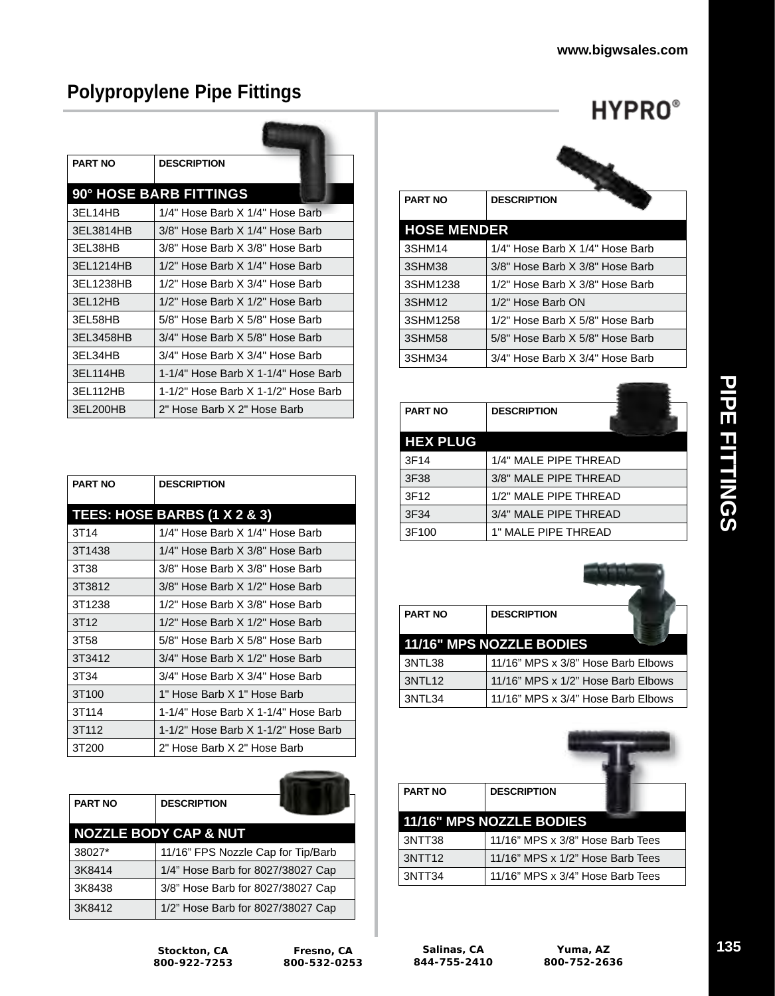**HYPRO**®

## **Polypropylene Pipe Fittings**

| <b>PART NO</b> | <b>DESCRIPTION</b>                  |
|----------------|-------------------------------------|
|                | <b>90° HOSE BARB FITTINGS</b>       |
| 3EL14HB        | 1/4" Hose Barb X 1/4" Hose Barb     |
| 3EL3814HB      | 3/8" Hose Barb X 1/4" Hose Barb     |
| 3EL38HB        | 3/8" Hose Barb X 3/8" Hose Barb     |
| 3FL1214HB      | 1/2" Hose Barb X 1/4" Hose Barb     |
| 3EL1238HB      | 1/2" Hose Barb X 3/4" Hose Barb     |
| 3EL12HB        | 1/2" Hose Barb X 1/2" Hose Barb     |
| 3EL58HB        | 5/8" Hose Barb X 5/8" Hose Barb     |
| 3EL3458HB      | 3/4" Hose Barb X 5/8" Hose Barb     |
| 3EL34HB        | 3/4" Hose Barb X 3/4" Hose Barb     |
| 3EL114HB       | 1-1/4" Hose Barb X 1-1/4" Hose Barb |
| 3EL112HB       | 1-1/2" Hose Barb X 1-1/2" Hose Barb |
| 3EL200HB       | 2" Hose Barb X 2" Hose Barb         |

| <b>PART NO</b>    | <b>DESCRIPTION</b>                  |
|-------------------|-------------------------------------|
|                   | TEES: HOSE BARBS (1 X 2 & 3)        |
| 3T14              | 1/4" Hose Barb X 1/4" Hose Barb     |
| 3T1438            | 1/4" Hose Barb X 3/8" Hose Barb     |
| 3T38              | 3/8" Hose Barb X 3/8" Hose Barb     |
| 3T3812            | 3/8" Hose Barb X 1/2" Hose Barb     |
| 3T1238            | 1/2" Hose Barb X 3/8" Hose Barb     |
| 3T <sub>12</sub>  | 1/2" Hose Barb X 1/2" Hose Barb     |
| 3T58              | 5/8" Hose Barb X 5/8" Hose Barb     |
| 3T3412            | 3/4" Hose Barb X 1/2" Hose Barb     |
| 3T34              | 3/4" Hose Barb X 3/4" Hose Barb     |
| 3T <sub>100</sub> | 1" Hose Barb X 1" Hose Barb         |
| 3T <sub>114</sub> | 1-1/4" Hose Barb X 1-1/4" Hose Barb |
| 3T <sub>112</sub> | 1-1/2" Hose Barb X 1-1/2" Hose Barb |
| 3T200             | 2" Hose Barb X 2" Hose Barb         |

| <b>PART NO</b> | <b>DESCRIPTION</b>                 |  |
|----------------|------------------------------------|--|
|                | <b>NOZZLE BODY CAP &amp; NUT</b>   |  |
| 38027*         | 11/16" FPS Nozzle Cap for Tip/Barb |  |
| 3K8414         | 1/4" Hose Barb for 8027/38027 Cap  |  |
| 3K8438         | 3/8" Hose Barb for 8027/38027 Cap  |  |
| 3K8412         | 1/2" Hose Barb for 8027/38027 Cap  |  |

| <b>PART NO</b>          | <b>DESCRIPTION</b>              |  |
|-------------------------|---------------------------------|--|
| <b>HOSE MENDER</b>      |                                 |  |
| 3SHM14                  | 1/4" Hose Barb X 1/4" Hose Barb |  |
| 3SHM38                  | 3/8" Hose Barb X 3/8" Hose Barb |  |
| 3SHM1238                | 1/2" Hose Barb X 3/8" Hose Barb |  |
| $2$ CLIM <sub>112</sub> | 1/2" Hoso Rorh ON               |  |

| <b>JULINITZJO</b> | $1/2$ Tiose Daid A $3/0$ Tiose Daid |
|-------------------|-------------------------------------|
| 3SHM12            | 1/2" Hose Barb ON                   |
| 3SHM1258          | 1/2" Hose Barb X 5/8" Hose Barb     |
| 3SHM58            | 5/8" Hose Barb X 5/8" Hose Barb     |
| 3SHM34            | 3/4" Hose Barb X 3/4" Hose Barb     |

| <b>PART NO</b>  | <b>DESCRIPTION</b>    |
|-----------------|-----------------------|
| <b>HEX PLUG</b> |                       |
| 3F14            | 1/4" MALE PIPE THREAD |
| 3F38            | 3/8" MALE PIPE THREAD |
| 3F12            | 1/2" MALE PIPE THREAD |
| 3F34            | 3/4" MALE PIPE THREAD |
| 3F100           | 1" MALE PIPE THREAD   |

| <b>PART NO</b>     | <b>DESCRIPTION</b>                 |
|--------------------|------------------------------------|
|                    | 11/16" MPS NOZZLE BODIES           |
| 3NTL38             | 11/16" MPS x 3/8" Hose Barb Elbows |
| 3NTL <sub>12</sub> | 11/16" MPS x 1/2" Hose Barb Elbows |
| 3NTL34             | 11/16" MPS x 3/4" Hose Barb Elbows |

| <b>PART NO</b>     | <b>DESCRIPTION</b>               |
|--------------------|----------------------------------|
|                    | 11/16" MPS NOZZLE BODIES         |
| 3NTT38             | 11/16" MPS x 3/8" Hose Barb Tees |
| 3NTT <sub>12</sub> | 11/16" MPS x 1/2" Hose Barb Tees |
| 3NTT34             | 11/16" MPS x 3/4" Hose Barb Tees |

**Stockton, CA 800-922-7253**  $\overline{\phantom{a}}$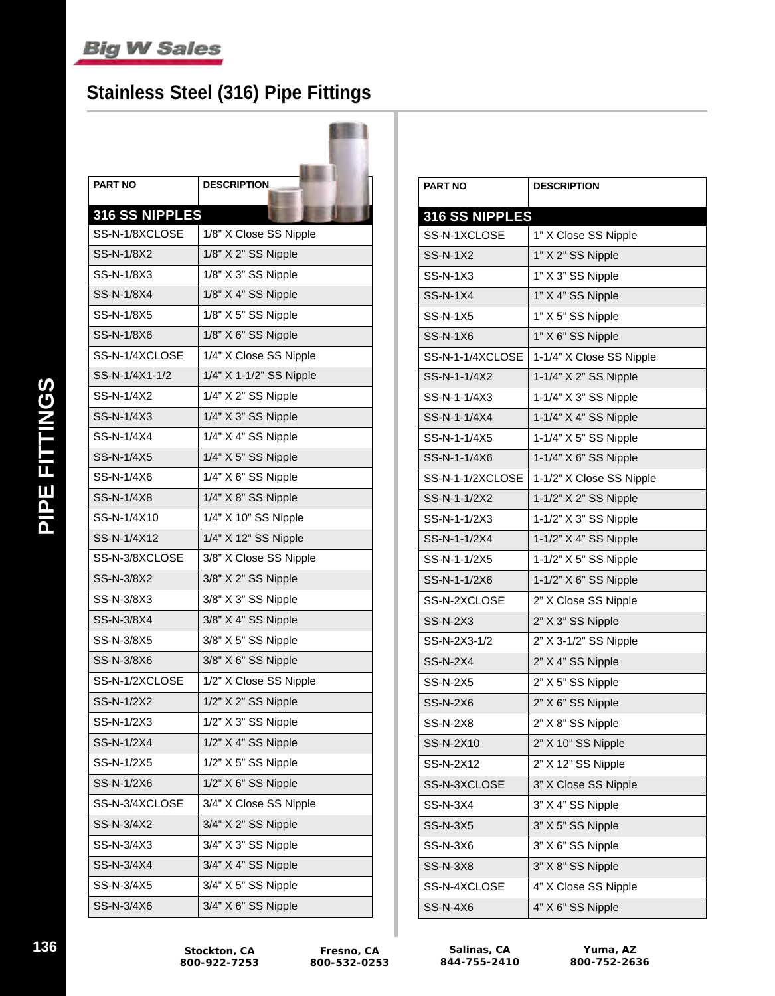## **Stainless Steel (316) Pipe Fittings**

| <b>PART NO</b> | <b>DESCRIPTION</b>      |
|----------------|-------------------------|
| 316 SS NIPPLES |                         |
| SS-N-1/8XCLOSE | 1/8" X Close SS Nipple  |
| SS-N-1/8X2     | 1/8" X 2" SS Nipple     |
| SS-N-1/8X3     | 1/8" X 3" SS Nipple     |
| SS-N-1/8X4     | 1/8" X 4" SS Nipple     |
| SS-N-1/8X5     | 1/8" X 5" SS Nipple     |
| SS-N-1/8X6     | 1/8" X 6" SS Nipple     |
| SS-N-1/4XCLOSE | 1/4" X Close SS Nipple  |
| SS-N-1/4X1-1/2 | 1/4" X 1-1/2" SS Nipple |
| SS-N-1/4X2     | 1/4" X 2" SS Nipple     |
| SS-N-1/4X3     | 1/4" X 3" SS Nipple     |
| SS-N-1/4X4     | 1/4" X 4" SS Nipple     |
| SS-N-1/4X5     | 1/4" X 5" SS Nipple     |
| SS-N-1/4X6     | 1/4" X 6" SS Nipple     |
| SS-N-1/4X8     | 1/4" X 8" SS Nipple     |
| SS-N-1/4X10    | 1/4" X 10" SS Nipple    |
| SS-N-1/4X12    | 1/4" X 12" SS Nipple    |
| SS-N-3/8XCLOSE | 3/8" X Close SS Nipple  |
| SS-N-3/8X2     | 3/8" X 2" SS Nipple     |
| SS-N-3/8X3     | 3/8" X 3" SS Nipple     |
| SS-N-3/8X4     | 3/8" X 4" SS Nipple     |
| SS-N-3/8X5     | 3/8" X 5" SS Nipple     |
| SS-N-3/8X6     | 3/8" X 6" SS Nipple     |
| SS-N-1/2XCLOSE | 1/2" X Close SS Nipple  |
| SS-N-1/2X2     | 1/2" X 2" SS Nipple     |
| SS-N-1/2X3     | 1/2" X 3" SS Nipple     |
| SS-N-1/2X4     | 1/2" X 4" SS Nipple     |
| SS-N-1/2X5     | 1/2" X 5" SS Nipple     |
| SS-N-1/2X6     | 1/2" X 6" SS Nipple     |
| SS-N-3/4XCLOSE | 3/4" X Close SS Nipple  |
| SS-N-3/4X2     | 3/4" X 2" SS Nipple     |
| SS-N-3/4X3     | 3/4" X 3" SS Nipple     |
| SS-N-3/4X4     | 3/4" X 4" SS Nipple     |
| SS-N-3/4X5     | 3/4" X 5" SS Nipple     |
| SS-N-3/4X6     | 3/4" X 6" SS Nipple     |

| 316 SS NIPPLES<br>SS-N-1XCLOSE<br>1" X Close SS Nipple<br><b>SS-N-1X2</b><br>1" X 2" SS Nipple<br>1" X 3" SS Nipple<br>SS-N-1X3<br>1" X 4" SS Nipple<br><b>SS-N-1X4</b><br>1" X 5" SS Nipple<br><b>SS-N-1X5</b><br><b>SS-N-1X6</b><br>1" X 6" SS Nipple<br>1-1/4" X Close SS Nipple<br>SS-N-1-1/4XCLOSE<br>1-1/4" X 2" SS Nipple<br>SS-N-1-1/4X2<br>SS-N-1-1/4X3<br>1-1/4" X 3" SS Nipple<br>1-1/4" X 4" SS Nipple<br>SS-N-1-1/4X4<br>1-1/4" X 5" SS Nipple<br>SS-N-1-1/4X5<br>SS-N-1-1/4X6<br>1-1/4" X 6" SS Nipple<br>1-1/2" X Close SS Nipple<br>SS-N-1-1/2XCLOSE<br>SS-N-1-1/2X2<br>1-1/2" X 2" SS Nipple<br>1-1/2" X 3" SS Nipple<br>SS-N-1-1/2X3<br>SS-N-1-1/2X4<br>1-1/2" X 4" SS Nipple<br>SS-N-1-1/2X5<br>1-1/2" X 5" SS Nipple<br>SS-N-1-1/2X6<br>1-1/2" X 6" SS Nipple<br>SS-N-2XCLOSE<br>2" X Close SS Nipple<br><b>SS-N-2X3</b><br>2" X 3" SS Nipple<br>SS-N-2X3-1/2<br>2" X 3-1/2" SS Nipple<br><b>SS-N-2X4</b><br>2" X 4" SS Nipple<br><b>SS-N-2X5</b><br>2" X 5" SS Nipple<br><b>SS-N-2X6</b><br>2" X 6" SS Nipple<br><b>SS-N-2X8</b><br>2" X 8" SS Nipple<br>SS-N-2X10<br>2" X 10" SS Nipple<br>2" X 12" SS Nipple<br>SS-N-2X12<br>SS-N-3XCLOSE<br>3" X Close SS Nipple<br>3" X 4" SS Nipple<br><b>SS-N-3X4</b><br>3" X 5" SS Nipple<br><b>SS-N-3X5</b><br>3" X 6" SS Nipple<br>SS-N-3X6<br>3" X 8" SS Nipple<br>SS-N-3X8<br>SS-N-4XCLOSE<br>4" X Close SS Nipple<br>4" X 6" SS Nipple<br>SS-N-4X6 | <b>PART NO</b> | <b>DESCRIPTION</b> |
|---------------------------------------------------------------------------------------------------------------------------------------------------------------------------------------------------------------------------------------------------------------------------------------------------------------------------------------------------------------------------------------------------------------------------------------------------------------------------------------------------------------------------------------------------------------------------------------------------------------------------------------------------------------------------------------------------------------------------------------------------------------------------------------------------------------------------------------------------------------------------------------------------------------------------------------------------------------------------------------------------------------------------------------------------------------------------------------------------------------------------------------------------------------------------------------------------------------------------------------------------------------------------------------------------------------------------------------------------------------------------------------------------------------------|----------------|--------------------|
|                                                                                                                                                                                                                                                                                                                                                                                                                                                                                                                                                                                                                                                                                                                                                                                                                                                                                                                                                                                                                                                                                                                                                                                                                                                                                                                                                                                                                     |                |                    |
|                                                                                                                                                                                                                                                                                                                                                                                                                                                                                                                                                                                                                                                                                                                                                                                                                                                                                                                                                                                                                                                                                                                                                                                                                                                                                                                                                                                                                     |                |                    |
|                                                                                                                                                                                                                                                                                                                                                                                                                                                                                                                                                                                                                                                                                                                                                                                                                                                                                                                                                                                                                                                                                                                                                                                                                                                                                                                                                                                                                     |                |                    |
|                                                                                                                                                                                                                                                                                                                                                                                                                                                                                                                                                                                                                                                                                                                                                                                                                                                                                                                                                                                                                                                                                                                                                                                                                                                                                                                                                                                                                     |                |                    |
|                                                                                                                                                                                                                                                                                                                                                                                                                                                                                                                                                                                                                                                                                                                                                                                                                                                                                                                                                                                                                                                                                                                                                                                                                                                                                                                                                                                                                     |                |                    |
|                                                                                                                                                                                                                                                                                                                                                                                                                                                                                                                                                                                                                                                                                                                                                                                                                                                                                                                                                                                                                                                                                                                                                                                                                                                                                                                                                                                                                     |                |                    |
|                                                                                                                                                                                                                                                                                                                                                                                                                                                                                                                                                                                                                                                                                                                                                                                                                                                                                                                                                                                                                                                                                                                                                                                                                                                                                                                                                                                                                     |                |                    |
|                                                                                                                                                                                                                                                                                                                                                                                                                                                                                                                                                                                                                                                                                                                                                                                                                                                                                                                                                                                                                                                                                                                                                                                                                                                                                                                                                                                                                     |                |                    |
|                                                                                                                                                                                                                                                                                                                                                                                                                                                                                                                                                                                                                                                                                                                                                                                                                                                                                                                                                                                                                                                                                                                                                                                                                                                                                                                                                                                                                     |                |                    |
|                                                                                                                                                                                                                                                                                                                                                                                                                                                                                                                                                                                                                                                                                                                                                                                                                                                                                                                                                                                                                                                                                                                                                                                                                                                                                                                                                                                                                     |                |                    |
|                                                                                                                                                                                                                                                                                                                                                                                                                                                                                                                                                                                                                                                                                                                                                                                                                                                                                                                                                                                                                                                                                                                                                                                                                                                                                                                                                                                                                     |                |                    |
|                                                                                                                                                                                                                                                                                                                                                                                                                                                                                                                                                                                                                                                                                                                                                                                                                                                                                                                                                                                                                                                                                                                                                                                                                                                                                                                                                                                                                     |                |                    |
|                                                                                                                                                                                                                                                                                                                                                                                                                                                                                                                                                                                                                                                                                                                                                                                                                                                                                                                                                                                                                                                                                                                                                                                                                                                                                                                                                                                                                     |                |                    |
|                                                                                                                                                                                                                                                                                                                                                                                                                                                                                                                                                                                                                                                                                                                                                                                                                                                                                                                                                                                                                                                                                                                                                                                                                                                                                                                                                                                                                     |                |                    |
|                                                                                                                                                                                                                                                                                                                                                                                                                                                                                                                                                                                                                                                                                                                                                                                                                                                                                                                                                                                                                                                                                                                                                                                                                                                                                                                                                                                                                     |                |                    |
|                                                                                                                                                                                                                                                                                                                                                                                                                                                                                                                                                                                                                                                                                                                                                                                                                                                                                                                                                                                                                                                                                                                                                                                                                                                                                                                                                                                                                     |                |                    |
|                                                                                                                                                                                                                                                                                                                                                                                                                                                                                                                                                                                                                                                                                                                                                                                                                                                                                                                                                                                                                                                                                                                                                                                                                                                                                                                                                                                                                     |                |                    |
|                                                                                                                                                                                                                                                                                                                                                                                                                                                                                                                                                                                                                                                                                                                                                                                                                                                                                                                                                                                                                                                                                                                                                                                                                                                                                                                                                                                                                     |                |                    |
|                                                                                                                                                                                                                                                                                                                                                                                                                                                                                                                                                                                                                                                                                                                                                                                                                                                                                                                                                                                                                                                                                                                                                                                                                                                                                                                                                                                                                     |                |                    |
|                                                                                                                                                                                                                                                                                                                                                                                                                                                                                                                                                                                                                                                                                                                                                                                                                                                                                                                                                                                                                                                                                                                                                                                                                                                                                                                                                                                                                     |                |                    |
|                                                                                                                                                                                                                                                                                                                                                                                                                                                                                                                                                                                                                                                                                                                                                                                                                                                                                                                                                                                                                                                                                                                                                                                                                                                                                                                                                                                                                     |                |                    |
|                                                                                                                                                                                                                                                                                                                                                                                                                                                                                                                                                                                                                                                                                                                                                                                                                                                                                                                                                                                                                                                                                                                                                                                                                                                                                                                                                                                                                     |                |                    |
|                                                                                                                                                                                                                                                                                                                                                                                                                                                                                                                                                                                                                                                                                                                                                                                                                                                                                                                                                                                                                                                                                                                                                                                                                                                                                                                                                                                                                     |                |                    |
|                                                                                                                                                                                                                                                                                                                                                                                                                                                                                                                                                                                                                                                                                                                                                                                                                                                                                                                                                                                                                                                                                                                                                                                                                                                                                                                                                                                                                     |                |                    |
|                                                                                                                                                                                                                                                                                                                                                                                                                                                                                                                                                                                                                                                                                                                                                                                                                                                                                                                                                                                                                                                                                                                                                                                                                                                                                                                                                                                                                     |                |                    |
|                                                                                                                                                                                                                                                                                                                                                                                                                                                                                                                                                                                                                                                                                                                                                                                                                                                                                                                                                                                                                                                                                                                                                                                                                                                                                                                                                                                                                     |                |                    |
|                                                                                                                                                                                                                                                                                                                                                                                                                                                                                                                                                                                                                                                                                                                                                                                                                                                                                                                                                                                                                                                                                                                                                                                                                                                                                                                                                                                                                     |                |                    |
|                                                                                                                                                                                                                                                                                                                                                                                                                                                                                                                                                                                                                                                                                                                                                                                                                                                                                                                                                                                                                                                                                                                                                                                                                                                                                                                                                                                                                     |                |                    |
|                                                                                                                                                                                                                                                                                                                                                                                                                                                                                                                                                                                                                                                                                                                                                                                                                                                                                                                                                                                                                                                                                                                                                                                                                                                                                                                                                                                                                     |                |                    |
|                                                                                                                                                                                                                                                                                                                                                                                                                                                                                                                                                                                                                                                                                                                                                                                                                                                                                                                                                                                                                                                                                                                                                                                                                                                                                                                                                                                                                     |                |                    |
|                                                                                                                                                                                                                                                                                                                                                                                                                                                                                                                                                                                                                                                                                                                                                                                                                                                                                                                                                                                                                                                                                                                                                                                                                                                                                                                                                                                                                     |                |                    |
|                                                                                                                                                                                                                                                                                                                                                                                                                                                                                                                                                                                                                                                                                                                                                                                                                                                                                                                                                                                                                                                                                                                                                                                                                                                                                                                                                                                                                     |                |                    |
|                                                                                                                                                                                                                                                                                                                                                                                                                                                                                                                                                                                                                                                                                                                                                                                                                                                                                                                                                                                                                                                                                                                                                                                                                                                                                                                                                                                                                     |                |                    |
|                                                                                                                                                                                                                                                                                                                                                                                                                                                                                                                                                                                                                                                                                                                                                                                                                                                                                                                                                                                                                                                                                                                                                                                                                                                                                                                                                                                                                     |                |                    |
|                                                                                                                                                                                                                                                                                                                                                                                                                                                                                                                                                                                                                                                                                                                                                                                                                                                                                                                                                                                                                                                                                                                                                                                                                                                                                                                                                                                                                     |                |                    |

**Salinas, CA 844-755-2410**

**Yuma, AZ 800-752-2636**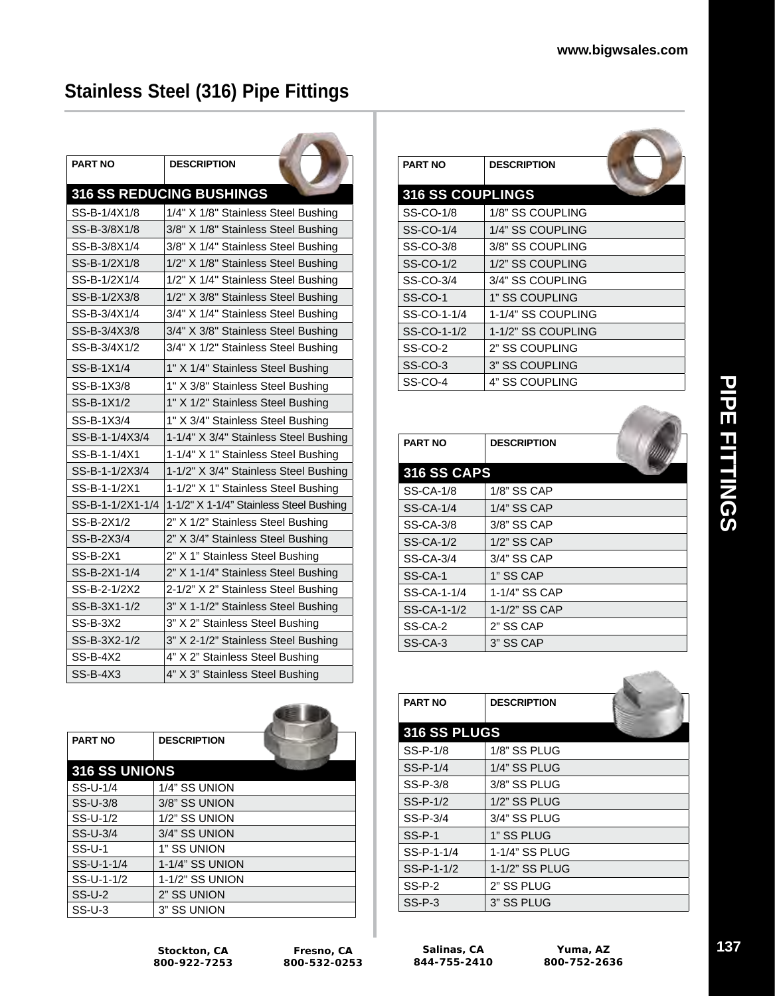**CONTRACTOR** 

## **Stainless Steel (316) Pipe Fittings**

| <b>PART NO</b>   | <b>DESCRIPTION</b>                      |
|------------------|-----------------------------------------|
|                  | 316 SS REDUCING BUSHINGS                |
| SS-B-1/4X1/8     | 1/4" X 1/8" Stainless Steel Bushing     |
| SS-B-3/8X1/8     | 3/8" X 1/8" Stainless Steel Bushing     |
| SS-B-3/8X1/4     | 3/8" X 1/4" Stainless Steel Bushing     |
| SS-B-1/2X1/8     | 1/2" X 1/8" Stainless Steel Bushing     |
| SS-B-1/2X1/4     | 1/2" X 1/4" Stainless Steel Bushing     |
| SS-B-1/2X3/8     | 1/2" X 3/8" Stainless Steel Bushing     |
| SS-B-3/4X1/4     | 3/4" X 1/4" Stainless Steel Bushing     |
| SS-B-3/4X3/8     | 3/4" X 3/8" Stainless Steel Bushing     |
| SS-B-3/4X1/2     | 3/4" X 1/2" Stainless Steel Bushing     |
| SS-B-1X1/4       | 1" X 1/4" Stainless Steel Bushing       |
| SS-B-1X3/8       | 1" X 3/8" Stainless Steel Bushing       |
| SS-B-1X1/2       | 1" X 1/2" Stainless Steel Bushing       |
| SS-B-1X3/4       | 1" X 3/4" Stainless Steel Bushing       |
| SS-B-1-1/4X3/4   | 1-1/4" X 3/4" Stainless Steel Bushing   |
| SS-B-1-1/4X1     | 1-1/4" X 1" Stainless Steel Bushing     |
| SS-B-1-1/2X3/4   | 1-1/2" X 3/4" Stainless Steel Bushing   |
| SS-B-1-1/2X1     | 1-1/2" X 1" Stainless Steel Bushing     |
| SS-B-1-1/2X1-1/4 | 1-1/2" X 1-1/4" Stainless Steel Bushing |
| SS-B-2X1/2       | 2" X 1/2" Stainless Steel Bushing       |
| SS-B-2X3/4       | 2" X 3/4" Stainless Steel Bushing       |
| SS-B-2X1         | 2" X 1" Stainless Steel Bushing         |
| SS-B-2X1-1/4     | 2" X 1-1/4" Stainless Steel Bushing     |
| SS-B-2-1/2X2     | 2-1/2" X 2" Stainless Steel Bushing     |
| SS-B-3X1-1/2     | 3" X 1-1/2" Stainless Steel Bushing     |
| <b>SS-B-3X2</b>  | 3" X 2" Stainless Steel Bushing         |
| SS-B-3X2-1/2     | 3" X 2-1/2" Stainless Steel Bushing     |
| SS-B-4X2         | 4" X 2" Stainless Steel Bushing         |
| $SS-B-4X3$       | 4" X 3" Stainless Steel Bushing         |

| <b>PART NO</b> | <b>DESCRIPTION</b> |  |
|----------------|--------------------|--|
| 316 SS UNIONS  |                    |  |
| SS-U-1/4       | 1/4" SS UNION      |  |
| SS-U-3/8       | 3/8" SS UNION      |  |
| SS-U-1/2       | 1/2" SS UNION      |  |
| SS-U-3/4       | 3/4" SS UNION      |  |
| $SS-U-1$       | 1" SS UNION        |  |
| SS-U-1-1/4     | 1-1/4" SS UNION    |  |
| SS-U-1-1/2     | 1-1/2" SS UNION    |  |
| $SS-U-2$       | 2" SS UNION        |  |
| $SS-U-3$       | 3" SS UNION        |  |

| <b>PART NO</b>          | <b>DESCRIPTION</b> |  |
|-------------------------|--------------------|--|
| <b>316 SS COUPLINGS</b> |                    |  |
| SS-CO-1/8               | 1/8" SS COUPLING   |  |
| SS-CO-1/4               | 1/4" SS COUPLING   |  |
| SS-CO-3/8               | 3/8" SS COUPLING   |  |
| SS-CO-1/2               | 1/2" SS COUPLING   |  |
| SS-CO-3/4               | 3/4" SS COUPLING   |  |
| SS-CO-1                 | 1" SS COUPLING     |  |
| SS-CO-1-1/4             | 1-1/4" SS COUPLING |  |
| SS-CO-1-1/2             | 1-1/2" SS COUPLING |  |
| SS-CO-2                 | 2" SS COUPLING     |  |
| SS-CO-3                 | 3" SS COUPLING     |  |
| SS-CO-4                 | 4" SS COUPLING     |  |

| <b>PART NO</b>     | <b>DESCRIPTION</b> |  |
|--------------------|--------------------|--|
| <b>316 SS CAPS</b> |                    |  |
| SS-CA-1/8          | 1/8" SS CAP        |  |
| <b>SS-CA-1/4</b>   | 1/4" SS CAP        |  |
| SS-CA-3/8          | 3/8" SS CAP        |  |
| <b>SS-CA-1/2</b>   | 1/2" SS CAP        |  |
| <b>SS-CA-3/4</b>   | 3/4" SS CAP        |  |
| SS-CA-1            | 1" SS CAP          |  |
| SS-CA-1-1/4        | 1-1/4" SS CAP      |  |
| SS-CA-1-1/2        | 1-1/2" SS CAP      |  |
| SS-CA-2            | 2" SS CAP          |  |
| SS-CA-3            | 3" SS CAP          |  |

| <b>PART NO</b> | <b>DESCRIPTION</b> |  |
|----------------|--------------------|--|
| 316 SS PLUGS   |                    |  |
| SS-P-1/8       | 1/8" SS PLUG       |  |
| SS-P-1/4       | 1/4" SS PLUG       |  |
| SS-P-3/8       | 3/8" SS PLUG       |  |
| SS-P-1/2       | 1/2" SS PLUG       |  |
| SS-P-3/4       | 3/4" SS PLUG       |  |
| $SS-P-1$       | 1" SS PLUG         |  |
| SS-P-1-1/4     | 1-1/4" SS PLUG     |  |
| SS-P-1-1/2     | 1-1/2" SS PLUG     |  |
| SS-P-2         | 2" SS PLUG         |  |
| $SS-P-3$       | 3" SS PLUG         |  |

**Stockton, CA 800-922-7253**

**Salinas, CA 844-755-2410**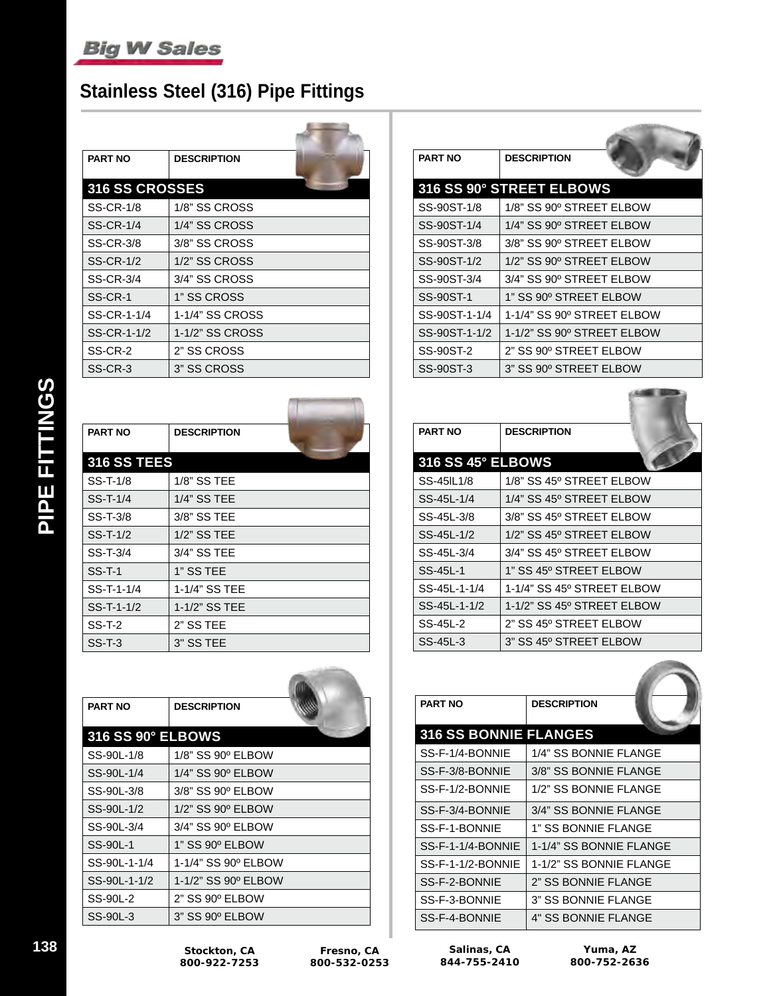## **Stainless Steel (316) Pipe Fittings**

| <b>PART NO</b>        | <b>DESCRIPTION</b> |  |
|-----------------------|--------------------|--|
| <b>316 SS CROSSES</b> |                    |  |
| <b>SS-CR-1/8</b>      | 1/8" SS CROSS      |  |
| <b>SS-CR-1/4</b>      | 1/4" SS CROSS      |  |
| SS-CR-3/8             | 3/8" SS CROSS      |  |
| <b>SS-CR-1/2</b>      | 1/2" SS CROSS      |  |
| SS-CR-3/4             | 3/4" SS CROSS      |  |
| SS-CR-1               | 1" SS CROSS        |  |
| SS-CR-1-1/4           | 1-1/4" SS CROSS    |  |
| SS-CR-1-1/2           | 1-1/2" SS CROSS    |  |
| SS-CR-2               | 2" SS CROSS        |  |
| SS-CR-3               | 3" SS CROSS        |  |

| <b>PART NO</b>     | <b>DESCRIPTION</b> |  |
|--------------------|--------------------|--|
| <b>316 SS TEES</b> |                    |  |
| SS-T-1/8           | 1/8" SS TEE        |  |
| $SS-T-1/4$         | 1/4" SS TEE        |  |
| $SS-T-3/8$         | 3/8" SS TEE        |  |
| SS-T-1/2           | 1/2" SS TEE        |  |
| $SS-T-3/4$         | 3/4" SS TEE        |  |
| $SS-T-1$           | 1" SS TEE          |  |
| SS-T-1-1/4         | 1-1/4" SS TEE      |  |
| SS-T-1-1/2         | 1-1/2" SS TEE      |  |
| $SS-T-2$           | 2" SS TEE          |  |
| $SS-T-3$           | 3" SS TEE          |  |

| <b>PART NO</b>           | <b>DESCRIPTION</b>  |  |
|--------------------------|---------------------|--|
| <b>316 SS 90° ELBOWS</b> |                     |  |
| SS-90L-1/8               | 1/8" SS 90° ELBOW   |  |
| SS-90L-1/4               | 1/4" SS 90° ELBOW   |  |
| SS-90L-3/8               | 3/8" SS 90° ELBOW   |  |
| SS-90L-1/2               | 1/2" SS 90° ELBOW   |  |
| SS-90L-3/4               | 3/4" SS 90° ELBOW   |  |
| SS-90L-1                 | 1" SS 90° ELBOW     |  |
| SS-90L-1-1/4             | 1-1/4" SS 90º ELBOW |  |
| SS-90L-1-1/2             | 1-1/2" SS 90° ELBOW |  |
| SS-90L-2                 | 2" SS 90° ELBOW     |  |
| SS-90L-3                 | 3" SS 90° ELBOW     |  |

| <b>PART NO</b>   | <b>DESCRIPTION</b>         |
|------------------|----------------------------|
|                  | 316 SS 90° STREET ELBOWS   |
| SS-90ST-1/8      | 1/8" SS 90º STREET ELBOW   |
| SS-90ST-1/4      | 1/4" SS 90º STREET ELBOW   |
| SS-90ST-3/8      | 3/8" SS 90° STREET ELBOW   |
| SS-90ST-1/2      | 1/2" SS 90º STREET ELBOW   |
| SS-90ST-3/4      | 3/4" SS 90° STREET ELBOW   |
| SS-90ST-1        | 1" SS 90° STREET ELBOW     |
| SS-90ST-1-1/4    | 1-1/4" SS 90º STREET ELBOW |
| SS-90ST-1-1/2    | 1-1/2" SS 90° STREET ELBOW |
| SS-90ST-2        | 2" SS 90º STREET ELBOW     |
| <b>SS-90ST-3</b> | 3" SS 90º STREET ELBOW     |

| <b>PART NO</b>    | <b>DESCRIPTION</b>         |
|-------------------|----------------------------|
| 316 SS 45° ELBOWS |                            |
| SS-45IL1/8        | 1/8" SS 45º STREET ELBOW   |
| SS-45L-1/4        | 1/4" SS 45° STREET ELBOW   |
| SS-45L-3/8        | 3/8" SS 45° STREET ELBOW   |
| SS-45L-1/2        | 1/2" SS 45º STREET ELBOW   |
| SS-45L-3/4        | 3/4" SS 45° STREET ELBOW   |
| SS-45L-1          | 1" SS 45° STREET ELBOW     |
| SS-45L-1-1/4      | 1-1/4" SS 45º STREET ELBOW |
| SS-45L-1-1/2      | 1-1/2" SS 45° STREET ELBOW |
| SS-45L-2          | 2" SS 45° STREET ELBOW     |
| SS-45L-3          | 3" SS 45º STREET ELBOW     |

| <b>PART NO</b>               | <b>DESCRIPTION</b>         |
|------------------------------|----------------------------|
| <b>316 SS BONNIE FLANGES</b> |                            |
| SS-F-1/4-BONNIE              | 1/4" SS BONNIE FLANGE      |
| SS-F-3/8-BONNIE              | 3/8" SS BONNIE FLANGE      |
| SS-F-1/2-BONNIE              | 1/2" SS BONNIE FLANGE      |
| SS-F-3/4-BONNIE              | 3/4" SS BONNIE FLANGE      |
| SS-F-1-BONNIE                | 1" SS BONNIE FLANGE        |
| SS-F-1-1/4-BONNIE            | 1-1/4" SS BONNIE FLANGE    |
| SS-F-1-1/2-BONNIE            | 1-1/2" SS BONNIE FLANGE    |
| SS-F-2-BONNIE                | 2" SS BONNIE FLANGE        |
| SS-F-3-BONNIE                | 3" SS BONNIE FLANGE        |
| SS-F-4-BONNIE                | <b>4" SS BONNIE FLANGE</b> |

PIPE FITTINGS **PIPE FITTINGS**

**138 Stockton, CA 800-922-7253**

**Fresno, CA 800-532-0253**

**Salinas, CA 844-755-2410**

**Yuma, AZ 800-752-2636**

**CONTRACTOR**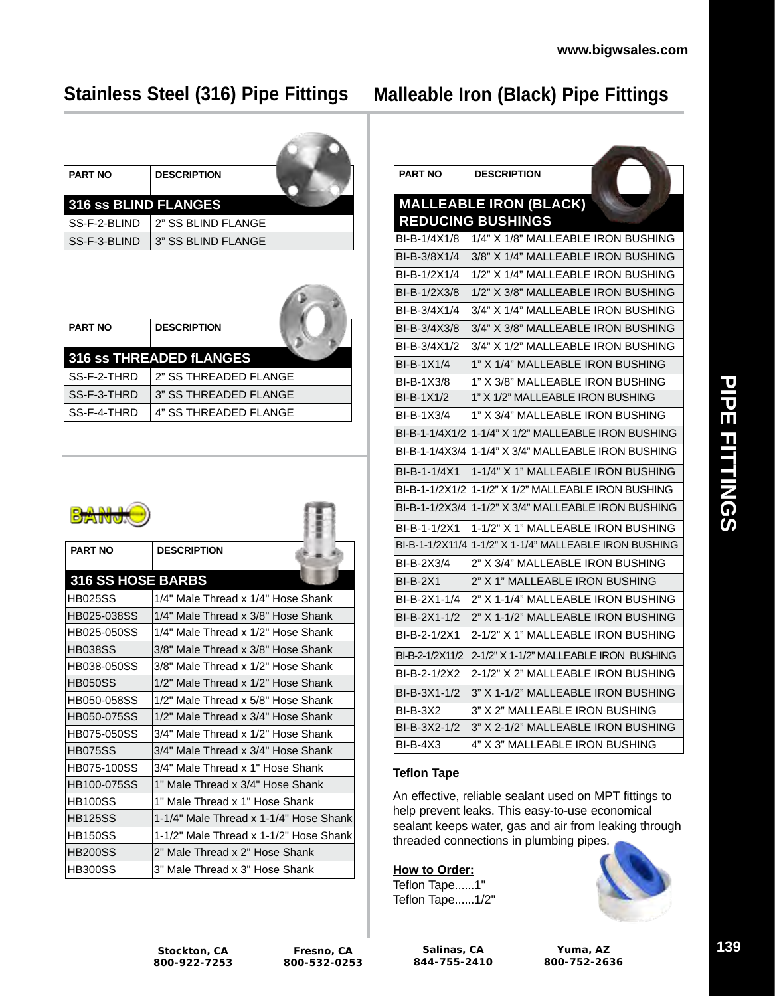## **Stainless Steel (316) Pipe Fittings**

# **Malleable Iron (Black) Pipe Fittings**

| <b>PART NO</b>       | <b>DESCRIPTION</b> |  |
|----------------------|--------------------|--|
| 316 SS BLIND FLANGES |                    |  |
| SS-F-2-BLIND         | 2" SS BLIND FLANGE |  |
| SS-F-3-BLIND         | 3" SS BLIND FLANGE |  |

| <b>PART NO</b> | <b>DESCRIPTION</b>             |
|----------------|--------------------------------|
|                |                                |
|                | <b>316 SS THREADED fLANGES</b> |
| SS-F-2-THRD    | 2" SS THREADED FLANGE          |
| SS-F-3-THRD    | 3" SS THREADED FLANGE          |
| SS-F-4-THRD    | 4" SS THREADED FLANGE          |

 $\sqrt{2}$ 

| <b>PART NO</b>     | <b>DESCRIPTION</b>                     |
|--------------------|----------------------------------------|
| 316 SS HOSE BARBS  |                                        |
| <b>HB025SS</b>     | 1/4" Male Thread x 1/4" Hose Shank     |
| HB025-038SS        | 1/4" Male Thread x 3/8" Hose Shank     |
| HB025-050SS        | 1/4" Male Thread x 1/2" Hose Shank     |
| <b>HB038SS</b>     | 3/8" Male Thread x 3/8" Hose Shank     |
| HB038-050SS        | 3/8" Male Thread x 1/2" Hose Shank     |
| <b>HB050SS</b>     | 1/2" Male Thread x 1/2" Hose Shank     |
| HB050-058SS        | 1/2" Male Thread x 5/8" Hose Shank     |
| HB050-075SS        | 1/2" Male Thread x 3/4" Hose Shank     |
| HB075-050SS        | 3/4" Male Thread x 1/2" Hose Shank     |
| <b>HB075SS</b>     | 3/4" Male Thread x 3/4" Hose Shank     |
| <b>HB075-100SS</b> | 3/4" Male Thread x 1" Hose Shank       |
| HB100-075SS        | 1" Male Thread x 3/4" Hose Shank       |
| <b>HB100SS</b>     | 1" Male Thread x 1" Hose Shank         |
| <b>HB125SS</b>     | 1-1/4" Male Thread x 1-1/4" Hose Shank |
| <b>HB150SS</b>     | 1-1/2" Male Thread x 1-1/2" Hose Shank |
| <b>HB200SS</b>     | 2" Male Thread x 2" Hose Shank         |
| <b>HB300SS</b>     | 3" Male Thread x 3" Hose Shank         |

| <b>PART NO</b>  | <b>DESCRIPTION</b>                                     |
|-----------------|--------------------------------------------------------|
|                 | <b>MALLEABLE IRON (BLACK)</b>                          |
|                 | <b>REDUCING BUSHINGS</b>                               |
| BI-B-1/4X1/8    | 1/4" X 1/8" MALLEABLE IRON BUSHING                     |
| BI-B-3/8X1/4    | 3/8" X 1/4" MALLEABLE IRON BUSHING                     |
| BI-B-1/2X1/4    | 1/2" X 1/4" MALLEABLE IRON BUSHING                     |
| BI-B-1/2X3/8    | 1/2" X 3/8" MALLEABLE IRON BUSHING                     |
| BI-B-3/4X1/4    | 3/4" X 1/4" MALLEABLE IRON BUSHING                     |
| BI-B-3/4X3/8    | 3/4" X 3/8" MALLEABLE IRON BUSHING                     |
| BI-B-3/4X1/2    | 3/4" X 1/2" MALLEABLE IRON BUSHING                     |
| BI-B-1X1/4      | 1" X 1/4" MALLEABLE IRON BUSHING                       |
| BI-B-1X3/8      | 1" X 3/8" MALLEABLE IRON BUSHING                       |
| BI-B-1X1/2      | 1" X 1/2" MALLEABLE IRON BUSHING                       |
| BI-B-1X3/4      | 1" X 3/4" MALLEABLE IRON BUSHING                       |
|                 | BI-B-1-1/4X1/2 1-1/4" X 1/2" MALLEABLE IRON BUSHING    |
| BI-B-1-1/4X3/4  | 1-1/4" X 3/4" MALLEABLE IRON BUSHING                   |
| BI-B-1-1/4X1    | 1-1/4" X 1" MALLEABLE IRON BUSHING                     |
| BI-B-1-1/2X1/2  | 11-1/2" X 1/2" MALLEABLE IRON BUSHING                  |
| BI-B-1-1/2X3/4  | 1-1/2" X 3/4" MALLEABLE IRON BUSHING                   |
| BI-B-1-1/2X1    | 1-1/2" X 1" MALLEABLE IRON BUSHING                     |
|                 | BI-B-1-1/2X11/4 1-1/2" X 1-1/4" MALLEABLE IRON BUSHING |
| BI-B-2X3/4      | 2" X 3/4" MALLEABLE IRON BUSHING                       |
| <b>BI-B-2X1</b> | 2" X 1" MALLEABLE IRON BUSHING                         |
| BI-B-2X1-1/4    | 2" X 1-1/4" MALLEABLE IRON BUSHING                     |
| BI-B-2X1-1/2    | 2" X 1-1/2" MALLEABLE IRON BUSHING                     |
| BI-B-2-1/2X1    | 2-1/2" X 1" MALLEABLE IRON BUSHING                     |
| BI-B-2-1/2X11/2 | 2-1/2" X 1-1/2" MALLEABLE IRON BUSHING                 |
| BI-B-2-1/2X2    | 2-1/2" X 2" MALLEABLE IRON BUSHING                     |
| BI-B-3X1-1/2    | 3" X 1-1/2" MALLEABLE IRON BUSHING                     |
| <b>BI-B-3X2</b> | 3" X 2" MALLEABLE IRON BUSHING                         |
| BI-B-3X2-1/2    | 3" X 2-1/2" MALLEABLE IRON BUSHING                     |
| <b>BI-B-4X3</b> | 4" X 3" MALLEABLE IRON BUSHING                         |

#### **Teflon Tape**

An effective, reliable sealant used on MPT fittings to help prevent leaks. This easy-to-use economical sealant keeps water, gas and air from leaking through threaded connections in plumbing pipes.

**How to Order:** Teflon Tape......1" Teflon Tape......1/2"



**Stockton, CA 800-922-7253**

**Fresno, CA 800-532-0253**

**Salinas, CA 844-755-2410**

**Yuma, AZ 800-752-2636**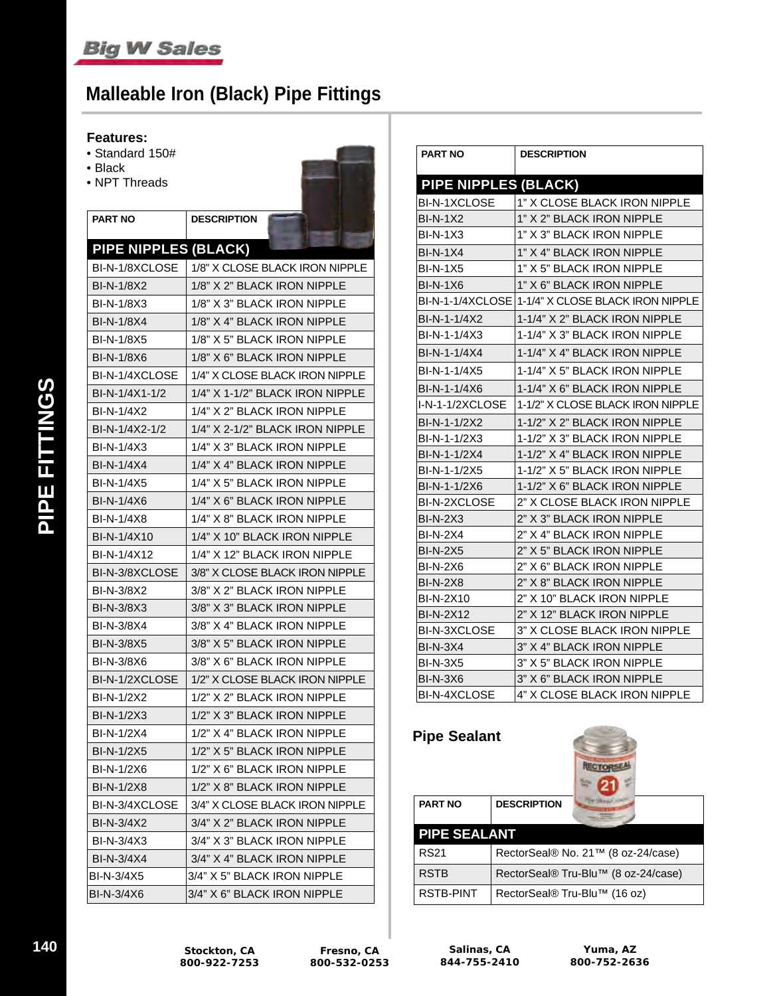# **Malleable Iron (Black) Pipe Fittings**

#### **Features:**

- Standard 150#
- Black
- NPT Threads

| <b>PART NO</b>              | <b>DESCRIPTION</b>              |
|-----------------------------|---------------------------------|
| <b>PIPE NIPPLES (BLACK)</b> |                                 |
| BI-N-1/8XCLOSE              | 1/8" X CLOSE BLACK IRON NIPPLE  |
| <b>BI-N-1/8X2</b>           | 1/8" X 2" BLACK IRON NIPPLE     |
| <b>BI-N-1/8X3</b>           | 1/8" X 3" BLACK IRON NIPPLE     |
| <b>BI-N-1/8X4</b>           | 1/8" X 4" BLACK IRON NIPPLE     |
| <b>BI-N-1/8X5</b>           | 1/8" X 5" BLACK IRON NIPPLE     |
| BI-N-1/8X6                  | 1/8" X 6" BLACK IRON NIPPLE     |
| BI-N-1/4XCLOSE              | 1/4" X CLOSE BLACK IRON NIPPLE  |
| BI-N-1/4X1-1/2              | 1/4" X 1-1/2" BLACK IRON NIPPLE |
| BI-N-1/4X2                  | 1/4" X 2" BLACK IRON NIPPLE     |
| BI-N-1/4X2-1/2              | 1/4" X 2-1/2" BLACK IRON NIPPLE |
| BI-N-1/4X3                  | 1/4" X 3" BLACK IRON NIPPLE     |
| BI-N-1/4X4                  | 1/4" X 4" BLACK IRON NIPPLE     |
| <b>BI-N-1/4X5</b>           | 1/4" X 5" BLACK IRON NIPPLE     |
| BI-N-1/4X6                  | 1/4" X 6" BLACK IRON NIPPLE     |
| <b>BI-N-1/4X8</b>           | 1/4" X 8" BLACK IRON NIPPLE     |
| BI-N-1/4X10                 | 1/4" X 10" BLACK IRON NIPPLE    |
| BI-N-1/4X12                 | 1/4" X 12" BLACK IRON NIPPLE    |
| BI-N-3/8XCLOSE              | 3/8" X CLOSE BLACK IRON NIPPLE  |
| BI-N-3/8X2                  | 3/8" X 2" BLACK IRON NIPPLE     |
| <b>BI-N-3/8X3</b>           | 3/8" X 3" BLACK IRON NIPPLE     |
| BI-N-3/8X4                  | 3/8" X 4" BLACK IRON NIPPLE     |
| <b>BI-N-3/8X5</b>           | 3/8" X 5" BLACK IRON NIPPLE     |
| BI-N-3/8X6                  | 3/8" X 6" BLACK IRON NIPPLE     |
| BI-N-1/2XCLOSE              | 1/2" X CLOSE BLACK IRON NIPPLE  |
| <b>BI-N-1/2X2</b>           | 1/2" X 2" BLACK IRON NIPPLE     |
| <b>BI-N-1/2X3</b>           | 1/2" X 3" BLACK IRON NIPPLE     |
| <b>BI-N-1/2X4</b>           | 1/2" X 4" BLACK IRON NIPPLE     |
| BI-N-1/2X5                  | 1/2" X 5" BLACK IRON NIPPLE     |
| BI-N-1/2X6                  | 1/2" X 6" BLACK IRON NIPPLE     |
| <b>BI-N-1/2X8</b>           | 1/2" X 8" BLACK IRON NIPPLE     |
| BI-N-3/4XCLOSE              | 3/4" X CLOSE BLACK IRON NIPPLE  |
| BI-N-3/4X2                  | 3/4" X 2" BLACK IRON NIPPLE     |
| BI-N-3/4X3                  | 3/4" X 3" BLACK IRON NIPPLE     |
| BI-N-3/4X4                  | 3/4" X 4" BLACK IRON NIPPLE     |
| BI-N-3/4X5                  | 3/4" X 5" BLACK IRON NIPPLE     |
| BI-N-3/4X6                  | 3/4" X 6" BLACK IRON NIPPLE     |

| <b>PART NO</b>              | <b>DESCRIPTION</b>               |  |
|-----------------------------|----------------------------------|--|
| <b>PIPE NIPPLES (BLACK)</b> |                                  |  |
| <b>BI-N-1XCLOSE</b>         | 1" X CLOSE BLACK IRON NIPPLE     |  |
| <b>BI-N-1X2</b>             | 1" X 2" BLACK IRON NIPPLE        |  |
| <b>BI-N-1X3</b>             | 1" X 3" BLACK IRON NIPPLE        |  |
| <b>BI-N-1X4</b>             | 1" X 4" BLACK IRON NIPPLE        |  |
| <b>BI-N-1X5</b>             | 1" X 5" BLACK IRON NIPPLE        |  |
| $BI-N-1X6$                  | 1" X 6" BLACK IRON NIPPLE        |  |
| BI-N-1-1/4XCLOSE            | 1-1/4" X CLOSE BLACK IRON NIPPLE |  |
| BI-N-1-1/4X2                | 1-1/4" X 2" BLACK IRON NIPPLE    |  |
| BI-N-1-1/4X3                | 1-1/4" X 3" BLACK IRON NIPPLE    |  |
| BI-N-1-1/4X4                | 1-1/4" X 4" BLACK IRON NIPPLE    |  |
| BI-N-1-1/4X5                | 1-1/4" X 5" BLACK IRON NIPPLE    |  |
| BI-N-1-1/4X6                | 1-1/4" X 6" BLACK IRON NIPPLE    |  |
| I-N-1-1/2XCLOSE             | 1-1/2" X CLOSE BLACK IRON NIPPLE |  |
| BI-N-1-1/2X2                | 1-1/2" X 2" BLACK IRON NIPPLE    |  |
| BI-N-1-1/2X3                | 1-1/2" X 3" BLACK IRON NIPPLE    |  |
| BI-N-1-1/2X4                | 1-1/2" X 4" BLACK IRON NIPPLE    |  |
| BI-N-1-1/2X5                | 1-1/2" X 5" BLACK IRON NIPPLE    |  |
| BI-N-1-1/2X6                | 1-1/2" X 6" BLACK IRON NIPPLE    |  |
| BI-N-2XCLOSE                | 2" X CLOSE BLACK IRON NIPPLE     |  |
| <b>BI-N-2X3</b>             | 2" X 3" BLACK IRON NIPPLE        |  |
| BI-N-2X4                    | 2" X 4" BLACK IRON NIPPLE        |  |
| <b>BI-N-2X5</b>             | 2" X 5" BLACK IRON NIPPLE        |  |
| <b>BI-N-2X6</b>             | 2" X 6" BLACK IRON NIPPLE        |  |
| <b>BI-N-2X8</b>             | 2" X 8" BLACK IRON NIPPLE        |  |
| <b>BI-N-2X10</b>            | 2" X 10" BLACK IRON NIPPLE       |  |
| <b>BI-N-2X12</b>            | 2" X 12" BLACK IRON NIPPLE       |  |
| BI-N-3XCLOSE                | 3" X CLOSE BLACK IRON NIPPLE     |  |
| <b>BI-N-3X4</b>             | 3" X 4" BLACK IRON NIPPLE        |  |
| <b>BI-N-3X5</b>             | 3" X 5" BLACK IRON NIPPLE        |  |
| <b>BI-N-3X6</b>             | 3" X 6" BLACK IRON NIPPLE        |  |
| BI-N-4XCLOSE                | 4" X CLOSE BLACK IRON NIPPLE     |  |

| <b>Pipe Sealant</b> | <b>NECTO</b>                        |  |
|---------------------|-------------------------------------|--|
| <b>PART NO</b>      | <b>DESCRIPTION</b>                  |  |
| <b>PIPE SEALANT</b> |                                     |  |
| <b>RS21</b>         | RectorSeal® No. 21™ (8 oz-24/case)  |  |
| <b>RSTB</b>         | RectorSeal® Tru-Blu™ (8 oz-24/case) |  |
| <b>RSTB-PINT</b>    | RectorSeal® Tru-Blu™ (16 oz)        |  |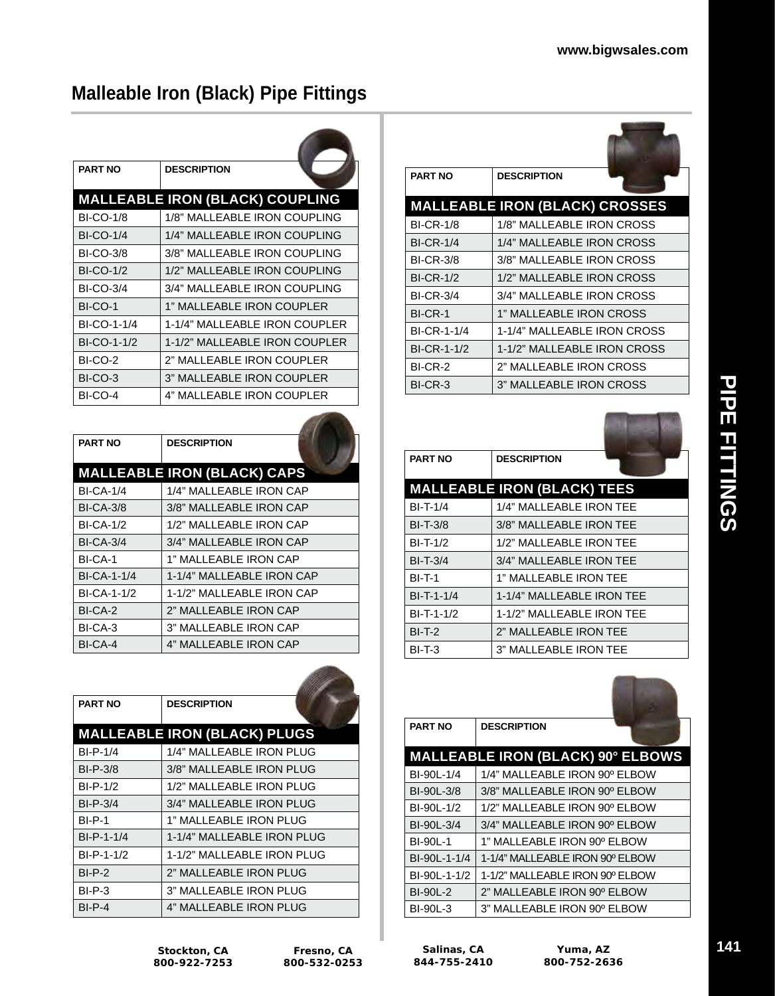## **Malleable Iron (Black) Pipe Fittings**

| <b>PART NO</b>   | <b>DESCRIPTION</b>                     |
|------------------|----------------------------------------|
|                  | <b>MALLEABLE IRON (BLACK) COUPLING</b> |
| <b>BI-CO-1/8</b> | 1/8" MALLEABLE IRON COUPLING           |
| <b>BI-CO-1/4</b> | 1/4" MALLEABLE IRON COUPLING           |
| <b>BI-CO-3/8</b> | 3/8" MALLEABLE IRON COUPLING           |
| <b>BI-CO-1/2</b> | 1/2" MALLEABLE IRON COUPLING           |
| <b>BI-CO-3/4</b> | 3/4" MALLEABLE IRON COUPLING           |
| BI-CO-1          | 1" MALLEABLE IRON COUPLER              |
| BI-CO-1-1/4      | 1-1/4" MALLEABLE IRON COUPLER          |
| BI-CO-1-1/2      | 1-1/2" MALLEABLE IRON COUPLER          |
| BI-CO-2          | 2" MALLEABLE IRON COUPLER              |
| BI-CO-3          | 3" MALLEABLE IRON COUPLER              |
| BI-CO-4          | 4" MALLEABLE IRON COUPLER              |

| <b>PART NO</b>     | <b>DESCRIPTION</b>                 |
|--------------------|------------------------------------|
|                    | <b>MALLEABLE IRON (BLACK) CAPS</b> |
| <b>BI-CA-1/4</b>   | 1/4" MALLEABLE IRON CAP            |
| <b>BI-CA-3/8</b>   | 3/8" MALLEABLE IRON CAP            |
| <b>BI-CA-1/2</b>   | 1/2" MALLEABLE IRON CAP            |
| <b>BI-CA-3/4</b>   | 3/4" MALLEABLE IRON CAP            |
| BI-CA-1            | 1" MALLEABLE IRON CAP              |
| <b>BI-CA-1-1/4</b> | 1-1/4" MALLEABLE IRON CAP          |
| BI-CA-1-1/2        | 1-1/2" MALLEABLE IRON CAP          |
| BI-CA-2            | 2" MALLEABLE IRON CAP              |
| BI-CA-3            | 3" MALLEABLE IRON CAP              |
| BI-CA-4            | 4" MALLEABLE IRON CAP              |

| <b>PART NO</b> | <b>DESCRIPTION</b>                  |
|----------------|-------------------------------------|
|                | <b>MALLEABLE IRON (BLACK) PLUGS</b> |
| $BI-P-1/4$     | 1/4" MALLEABLE IRON PLUG            |
| $BI-P-3/8$     | 3/8" MALLEABLE IRON PLUG            |
| $BI-P-1/2$     | 1/2" MALLEABLE IRON PLUG            |
| $BI-P-3/4$     | 3/4" MALLEABLE IRON PLUG            |
| <b>BI-P-1</b>  | 1" MALLEABLE IRON PLUG              |
| BI-P-1-1/4     | 1-1/4" MALLEABLE IRON PLUG          |
| BI-P-1-1/2     | 1-1/2" MALLEABLE IRON PLUG          |
| $BI-P-2$       | 2" MALLEABLE IRON PLUG              |
| $BI-P-3$       | 3" MALLEABLE IRON PLUG              |
| $BI-P-4$       | 4" MALLEABLE IRON PLUG              |

| <b>PART NO</b>   | <b>DESCRIPTION</b>                    |  |
|------------------|---------------------------------------|--|
|                  | <b>MALLEABLE IRON (BLACK) CROSSES</b> |  |
| <b>BI-CR-1/8</b> | 1/8" MALLEABLE IRON CROSS             |  |
| <b>BI-CR-1/4</b> | 1/4" MALLEABLE IRON CROSS             |  |
| <b>BI-CR-3/8</b> | 3/8" MALLEABLE IRON CROSS             |  |
| <b>BI-CR-1/2</b> | 1/2" MALLEABLE IRON CROSS             |  |
| <b>BI-CR-3/4</b> | 3/4" MALLEABLE IRON CROSS             |  |
| BI-CR-1          | 1" MALLEABLE IRON CROSS               |  |
| BI-CR-1-1/4      | 1-1/4" MALLEABLE IRON CROSS           |  |
| BI-CR-1-1/2      | 1-1/2" MALLEABLE IRON CROSS           |  |
| BI-CR-2          | 2" MALLEABLE IRON CROSS               |  |
| BI-CR-3          | 3" MALLEABLE IRON CROSS               |  |

| <b>PART NO</b> | <b>DESCRIPTION</b>                 |
|----------------|------------------------------------|
|                | <b>MALLEABLE IRON (BLACK) TEES</b> |
| $BI-T-1/4$     | 1/4" MALLEABLE IRON TEE            |
| $BI-T-3/8$     | 3/8" MALLEABLE IRON TEE            |
| $BI-T-1/2$     | 1/2" MAI I FABI F IRON TFF         |
| $BI-T-3/4$     | 3/4" MALLEABLE IRON TEE            |
| <b>BI-T-1</b>  | 1" MALLEABLE IRON TEE              |
| $BI-T-1-1/4$   | 1-1/4" MALLEABLE IRON TEE          |
| $BI-T-1-1/2$   | 1-1/2" MALLEABLE IRON TEE          |
| $BI-T-2$       | 2" MALLEABLE IRON TEE              |
| BI-T-3         | 3" MALLEABLE IRON TEE              |



**Stockton, CA 800-922-7253** of the company

Film Co

**Salinas, CA 844-755-2410**

**Yuma, AZ 800-752-2636**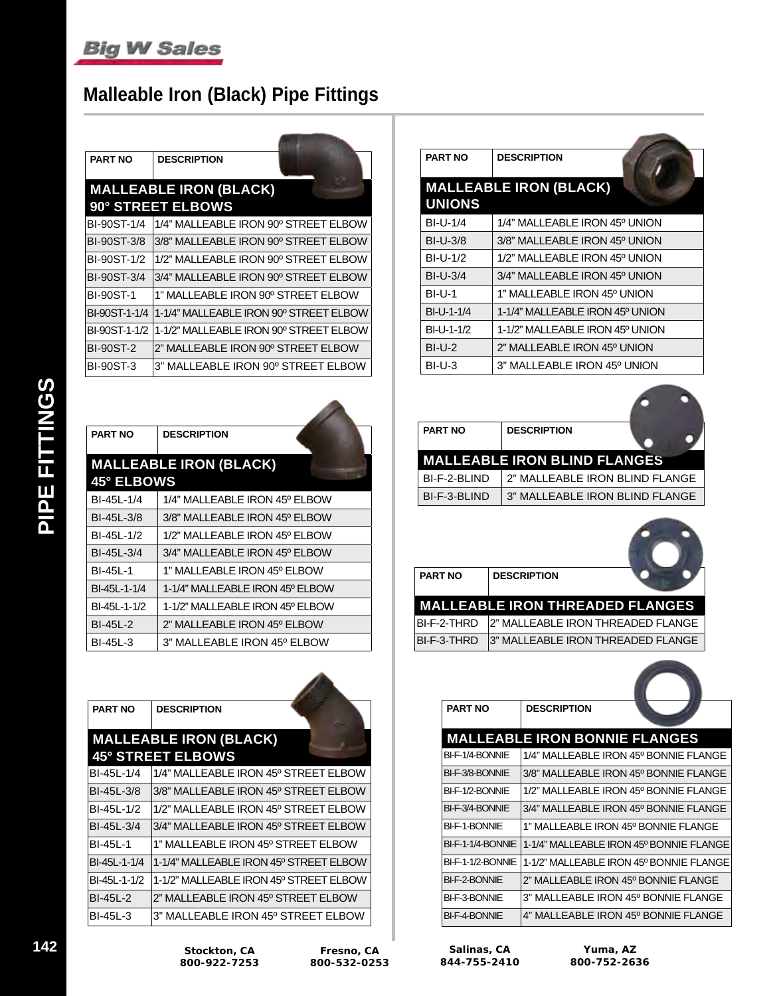## **Malleable Iron (Black) Pipe Fittings**

| <b>PART NO</b>   | <b>DESCRIPTION</b>                     |
|------------------|----------------------------------------|
|                  | <b>MALLEABLE IRON (BLACK)</b>          |
|                  | 90° STREET ELBOWS                      |
| BI-90ST-1/4      | 1/4" MALLEABLE IRON 90° STREET ELBOW   |
| BI-90ST-3/8      | 3/8" MALLEABLE IRON 90° STREET ELBOW   |
| BI-90ST-1/2      | 1/2" MALLEABLE IRON 90° STREET ELBOW   |
| BI-90ST-3/4      | 3/4" MALLEABLE IRON 90° STREET ELBOW   |
| <b>BI-90ST-1</b> | 1" MALLEABLE IRON 90° STREET ELBOW     |
| BI-90ST-1-1/4    | 1-1/4" MALLEABLE IRON 90° STREET ELBOW |
| BI-90ST-1-1/2    | 1-1/2" MALLEABLE IRON 90° STREET ELBOW |
| <b>BI-90ST-2</b> | 2" MALLEABLE IRON 90° STREET ELBOW     |
| <b>BI-90ST-3</b> | 3" MALLEABLE IRON 90° STREET ELBOW     |

| <b>PART NO</b>    | <b>DESCRIPTION</b>              |
|-------------------|---------------------------------|
|                   | <b>MALLEABLE IRON (BLACK)</b>   |
| <b>45° ELBOWS</b> |                                 |
| BI-45L-1/4        | 1/4" MALLEABLE IRON 45° ELBOW   |
| BI-45L-3/8        | 3/8" MALLEABLE IRON 45° ELBOW   |
| BI-45L-1/2        | 1/2" MALLEABLE IRON 45º ELBOW   |
| BI-45L-3/4        | 3/4" MALLEABLE IRON 45º ELBOW   |
| <b>BI-45L-1</b>   | 1" MALLEABLE IRON 45º ELBOW     |
| BI-45L-1-1/4      | 1-1/4" MALLEABLE IRON 45º ELBOW |
| BI-45L-1-1/2      | 1-1/2" MALLEABLE IRON 45º ELBOW |
| BI-45L-2          | 2" MALLEABLE IRON 45º ELBOW     |
| BI-45L-3          | 3" MALLEABLE IRON 45º ELBOW     |
|                   |                                 |

| <b>PART NO</b> | <b>DESCRIPTION</b>                     |
|----------------|----------------------------------------|
|                | <b>MALLEABLE IRON (BLACK)</b>          |
|                | <b>45° STREET ELBOWS</b>               |
| BI-45L-1/4     | 1/4" MALLEABLE IRON 45º STREET ELBOW   |
| BI-45L-3/8     | 3/8" MALLEABLE IRON 45° STREET ELBOW   |
| BI-45L-1/2     | 1/2" MALLEABLE IRON 45º STREET ELBOW   |
| BI-45L-3/4     | 3/4" MALLEABLE IRON 45° STREET ELBOW   |
| BI-45L-1       | 1" MALLEABLE IRON 45º STREET ELBOW     |
| BI-45L-1-1/4   | 1-1/4" MALLEABLE IRON 45° STREET ELBOW |
| BI-45L-1-1/2   | 1-1/2" MALLEABLE IRON 45º STREET ELBOW |
| BI-45L-2       | 2" MALLEABLE IRON 45º STREET ELBOW     |
| BI-45L-3       | 3" MALLEABLE IRON 45º STREET ELBOW     |

| <b>PART NO</b> | <b>DESCRIPTION</b>              |  |
|----------------|---------------------------------|--|
|                | <b>MALLEABLE IRON (BLACK)</b>   |  |
| <b>UNIONS</b>  |                                 |  |
| $BI-U-1/4$     | 1/4" MALLEABLE IRON 45º UNION   |  |
| $BI-U-3/8$     | 3/8" MALLEABLE IRON 45° UNION   |  |
| $BI-U-1/2$     | 1/2" MALLEABLE IRON 45º UNION   |  |
| $BI-U-3/4$     | 3/4" MALLEABLE IRON 45º UNION   |  |
| $BI-U-1$       | 1" MALLEABLE IRON 45º UNION     |  |
| BI-U-1-1/4     | 1-1/4" MALLEABLE IRON 45º UNION |  |
| BI-U-1-1/2     | 1-1/2" MALLEABLE IRON 45º UNION |  |
| $BI-U-2$       | 2" MALLEABLE IRON 45º UNION     |  |
| BI-U-3         | 3" MALLEABLE IRON 45º UNION     |  |



| <b>PART NO</b> | <b>DESCRIPTION</b> |                                        |
|----------------|--------------------|----------------------------------------|
|                |                    | <b>MALLEABLE IRON THREADED FLANGES</b> |

| BI-F-2-THRD 2" MALLEABLE IRON THREADED FLANGE |
|-----------------------------------------------|
| BI-F-3-THRD 3" MALLEABLE IRON THREADED FLANGE |

| <b>PART NO</b>           | <b>DESCRIPTION</b>                      |
|--------------------------|-----------------------------------------|
|                          | <b>MALLEABLE IRON BONNIE FLANGES</b>    |
| BI-F-1/4-BONNIE          | 1/4" MALLEABLE IRON 45° BONNIE FLANGE   |
| BI-F-3/8-BONNIE          | 3/8" MALLEABLE IRON 45º BONNIE FLANGE   |
| BI-F-1/2-BONNIE          | 1/2" MALLEABLE IRON 45º BONNIE FLANGE   |
| BI-F-3/4-BONNIF          | 3/4" MALLEABLE IRON 45º BONNIE FLANGE   |
| <b>BI-F-1-BONNIF</b>     | 1" MAI I FABI F IRON 45º BONNIF FI ANGF |
| BI-F-1-1/4-BONNIE        | 1-1/4" MALLEABLE IRON 45º BONNIE FLANGE |
| <b>BI-F-1-1/2-BONNIE</b> | 1-1/2" MALLEABLE IRON 45º BONNIE FLANGE |
| BI-F-2-BONNIF            | 2" MAI I FABI F IRON 45º BONNIF FI ANGF |
| BI-F-3-BONNIE            | 3" MALLEABLE IRON 45º BONNIE FLANGE     |
| <b>BI-F-4-BONNIE</b>     | 4" MALLEABLE IRON 45º BONNIE FLANGE     |

| Salinas, CA  |  |
|--------------|--|
| 844-755-2410 |  |

**Fresno, CA 800-532-0253**

 $\overline{\phantom{a}}$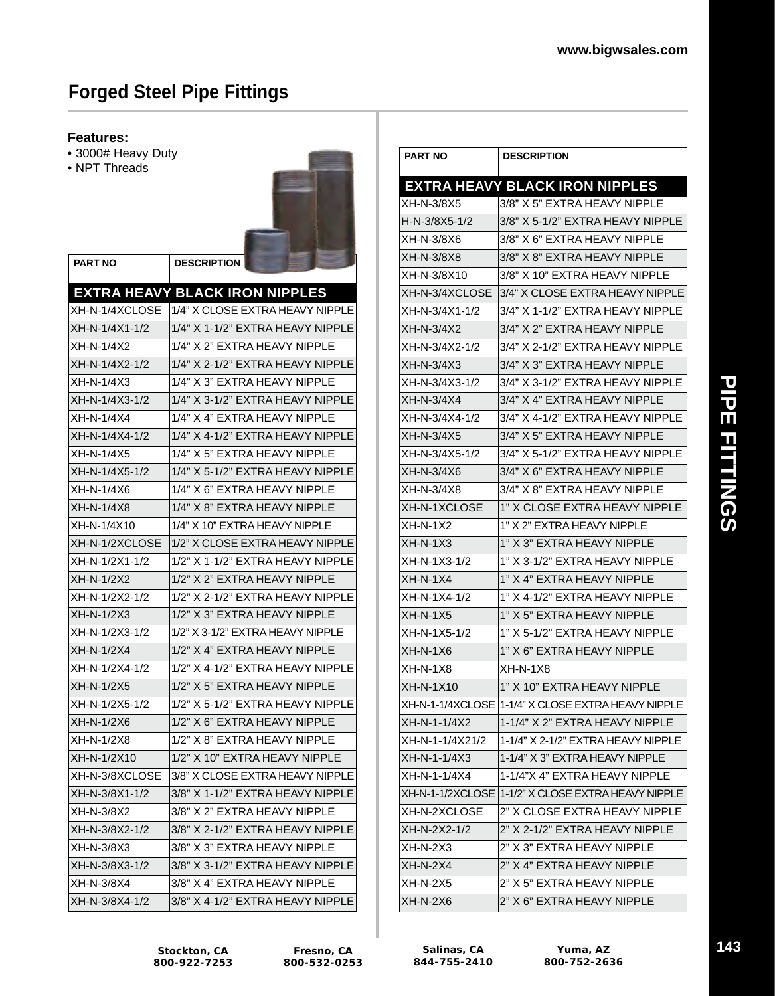## **Forged Steel Pipe Fittings**

**PART NO DESCRIPTION**

#### **Features:**

- 3000# Heavy Duty
- NPT Threads



|                | <b>EXTRA HEAVY BLACK IRON NIPPLES</b> |
|----------------|---------------------------------------|
| XH-N-1/4XCLOSE | 1/4" X CLOSE EXTRA HEAVY NIPPLE       |
| XH-N-1/4X1-1/2 | 1/4" X 1-1/2" EXTRA HEAVY NIPPLE      |
| XH-N-1/4X2     | 1/4" X 2" EXTRA HEAVY NIPPLE          |
| XH-N-1/4X2-1/2 | 1/4" X 2-1/2" EXTRA HEAVY NIPPLE      |
| XH-N-1/4X3     | 1/4" X 3" EXTRA HEAVY NIPPLE          |
| XH-N-1/4X3-1/2 | 1/4" X 3-1/2" EXTRA HEAVY NIPPLE      |
| XH-N-1/4X4     | 1/4" X 4" EXTRA HEAVY NIPPLE          |
| XH-N-1/4X4-1/2 | 1/4" X 4-1/2" EXTRA HEAVY NIPPLE      |
| XH-N-1/4X5     | 1/4" X 5" EXTRA HEAVY NIPPLE          |
| XH-N-1/4X5-1/2 | 1/4" X 5-1/2" EXTRA HEAVY NIPPLE      |
| XH-N-1/4X6     | 1/4" X 6" EXTRA HEAVY NIPPLE          |
| XH-N-1/4X8     | 1/4" X 8" EXTRA HEAVY NIPPLE          |
| XH-N-1/4X10    | 1/4" X 10" EXTRA HEAVY NIPPLE         |
| XH-N-1/2XCLOSE | 1/2" X CLOSE EXTRA HEAVY NIPPLE       |
| XH-N-1/2X1-1/2 | 1/2" X 1-1/2" EXTRA HEAVY NIPPLE      |
| XH-N-1/2X2     | 1/2" X 2" EXTRA HEAVY NIPPLE          |
| XH-N-1/2X2-1/2 | 1/2" X 2-1/2" EXTRA HEAVY NIPPLE      |
| XH-N-1/2X3     | 1/2" X 3" EXTRA HEAVY NIPPLE          |
| XH-N-1/2X3-1/2 | 1/2" X 3-1/2" EXTRA HEAVY NIPPLE      |
| XH-N-1/2X4     | 1/2" X 4" EXTRA HEAVY NIPPLE          |
| XH-N-1/2X4-1/2 | 1/2" X 4-1/2" EXTRA HEAVY NIPPLE      |
| XH-N-1/2X5     | 1/2" X 5" EXTRA HEAVY NIPPLE          |
| XH-N-1/2X5-1/2 | 1/2" X 5-1/2" EXTRA HEAVY NIPPLE      |
| XH-N-1/2X6     | 1/2" X 6" EXTRA HEAVY NIPPLE          |
| XH-N-1/2X8     | 1/2" X 8" EXTRA HEAVY NIPPLE          |
| XH-N-1/2X10    | 1/2" X 10" EXTRA HEAVY NIPPLE         |
| XH-N-3/8XCLOSE | 3/8" X CLOSE EXTRA HEAVY NIPPLE       |
| XH-N-3/8X1-1/2 | 3/8" X 1-1/2" EXTRA HEAVY NIPPLE      |
| XH-N-3/8X2     | 3/8" X 2" EXTRA HEAVY NIPPLE          |
| XH-N-3/8X2-1/2 | 3/8" X 2-1/2" EXTRA HEAVY NIPPLE      |
| XH-N-3/8X3     | 3/8" X 3" EXTRA HEAVY NIPPLE          |
| XH-N-3/8X3-1/2 | 3/8" X 3-1/2" EXTRA HEAVY NIPPLE      |
| XH-N-3/8X4     | 3/8" X 4" EXTRA HEAVY NIPPLE          |
| XH-N-3/8X4-1/2 | 3/8" X 4-1/2" EXTRA HEAVY NIPPLE      |

| <b>PART NO</b>  | <b>DESCRIPTION</b>                                 |
|-----------------|----------------------------------------------------|
|                 | <b>EXTRA HEAVY BLACK IRON NIPPLES</b>              |
| XH-N-3/8X5      | 3/8" X 5" EXTRA HEAVY NIPPLE                       |
| H-N-3/8X5-1/2   | 3/8" X 5-1/2" EXTRA HEAVY NIPPLE                   |
| XH-N-3/8X6      | 3/8" X 6" EXTRA HEAVY NIPPLE                       |
| XH-N-3/8X8      | 3/8" X 8" EXTRA HEAVY NIPPLE                       |
| XH-N-3/8X10     | 3/8" X 10" EXTRA HEAVY NIPPLE                      |
| XH-N-3/4XCLOSE  | 3/4" X CLOSE EXTRA HEAVY NIPPLE                    |
| XH-N-3/4X1-1/2  | 3/4" X 1-1/2" EXTRA HEAVY NIPPLE                   |
| XH-N-3/4X2      | 3/4" X 2" EXTRA HEAVY NIPPLE                       |
| XH-N-3/4X2-1/2  | 3/4" X 2-1/2" EXTRA HEAVY NIPPLE                   |
| XH-N-3/4X3      | 3/4" X 3" EXTRA HEAVY NIPPLE                       |
| XH-N-3/4X3-1/2  | 3/4" X 3-1/2" EXTRA HEAVY NIPPLE                   |
| XH-N-3/4X4      | 3/4" X 4" EXTRA HEAVY NIPPLE                       |
| XH-N-3/4X4-1/2  | 3/4" X 4-1/2" EXTRA HEAVY NIPPLE                   |
| XH-N-3/4X5      | 3/4" X 5" EXTRA HEAVY NIPPLE                       |
| XH-N-3/4X5-1/2  | 3/4" X 5-1/2" EXTRA HEAVY NIPPLE                   |
| XH-N-3/4X6      | 3/4" X 6" EXTRA HEAVY NIPPLE                       |
| XH-N-3/4X8      | 3/4" X 8" EXTRA HEAVY NIPPLE                       |
| XH-N-1XCLOSE    | 1" X CLOSE EXTRA HEAVY NIPPLE                      |
| XH-N-1X2        | 1" X 2" EXTRA HEAVY NIPPLE                         |
| XH-N-1X3        | 1" X 3" EXTRA HEAVY NIPPLE                         |
| XH-N-1X3-1/2    | 1" X 3-1/2" EXTRA HEAVY NIPPLE                     |
| $XH-N-1X4$      | 1" X 4" EXTRA HEAVY NIPPLE                         |
| XH-N-1X4-1/2    | 1" X 4-1/2" EXTRA HEAVY NIPPLE                     |
| $XH-N-1X5$      | 1" X 5" EXTRA HEAVY NIPPLE                         |
| XH-N-1X5-1/2    | 1" X 5-1/2" EXTRA HEAVY NIPPLE                     |
| $XH-N-1X6$      | 1" X 6" EXTRA HEAVY NIPPLE                         |
| $XH-N-1X8$      | $XH-N-1X8$                                         |
| XH-N-1X10       | 1" X 10" EXTRA HEAVY NIPPLE                        |
|                 | XH-N-1-1/4XCLOSE 1-1/4" X CLOSE EXTRA HEAVY NIPPLE |
| XH-N-1-1/4X2    | 1-1/4" X 2" EXTRA HEAVY NIPPLE                     |
| XH-N-1-1/4X21/2 | 1-1/4" X 2-1/2" EXTRA HEAVY NIPPLE                 |
| XH-N-1-1/4X3    | 1-1/4" X 3" EXTRA HEAVY NIPPLE                     |
| XH-N-1-1/4X4    | 1-1/4"X 4" EXTRA HEAVY NIPPLE                      |
|                 | XH-N-1-1/2XCLOSE 1-1/2" X CLOSE EXTRA HEAVY NIPPLE |
| XH-N-2XCLOSE    | 2" X CLOSE EXTRA HEAVY NIPPLE                      |
| XH-N-2X2-1/2    | 2" X 2-1/2" EXTRA HEAVY NIPPLE                     |
| $XH-N-2X3$      | 2" X 3" EXTRA HEAVY NIPPLE                         |
| $XH-N-2X4$      | 2" X 4" EXTRA HEAVY NIPPLE                         |
| XH-N-2X5        | 2" X 5" EXTRA HEAVY NIPPLE                         |
| XH-N-2X6        | 2" X 6" EXTRA HEAVY NIPPLE                         |

**Stockton, CA 800-922-7253**

**Salinas, CA 844-755-2410**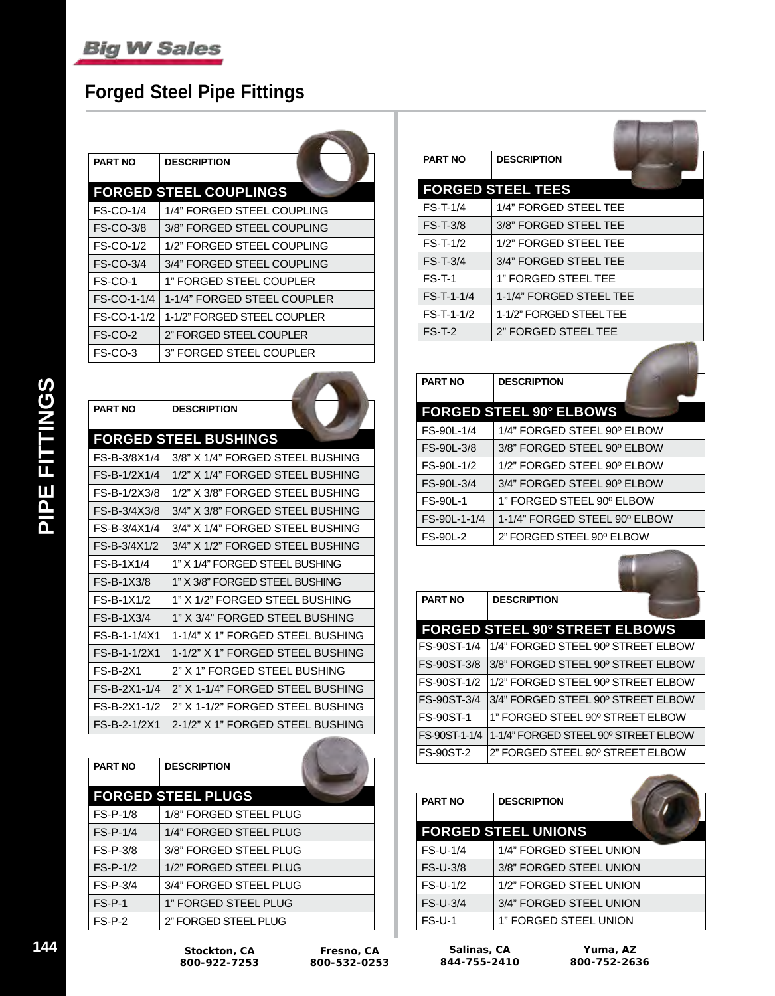## **Forged Steel Pipe Fittings**

| <b>PART NO</b>   | <b>DESCRIPTION</b>            |  |
|------------------|-------------------------------|--|
|                  | <b>FORGED STEEL COUPLINGS</b> |  |
| <b>FS-CO-1/4</b> | 1/4" FORGED STEEL COUPLING    |  |
| <b>FS-CO-3/8</b> | 3/8" FORGED STEEL COUPLING    |  |
| <b>FS-CO-1/2</b> | 1/2" FORGED STEEL COUPLING    |  |
| <b>FS-CO-3/4</b> | 3/4" FORGED STEEL COUPLING    |  |
| FS-CO-1          | 1" FORGED STEEL COUPLER       |  |
| FS-CO-1-1/4      | 1-1/4" FORGED STEEL COUPLER   |  |
| FS-CO-1-1/2      | 1-1/2" FORGED STEEL COUPLER   |  |
| FS-CO-2          | 2" FORGED STEEL COUPLER       |  |
| FS-CO-3          | 3" FORGED STEEL COUPLER       |  |
|                  |                               |  |

 $\mathcal{A}$  and  $\mathcal{A}$ 

| <b>PART NO</b> | <b>DESCRIPTION</b>               |
|----------------|----------------------------------|
|                | <b>FORGED STEEL BUSHINGS</b>     |
| FS-B-3/8X1/4   | 3/8" X 1/4" FORGED STEEL BUSHING |
| FS-B-1/2X1/4   | 1/2" X 1/4" FORGED STEEL BUSHING |
| FS-B-1/2X3/8   | 1/2" X 3/8" FORGED STEFL BUSHING |
| FS-B-3/4X3/8   | 3/4" X 3/8" FORGED STEEL BUSHING |
| FS-B-3/4X1/4   | 3/4" X 1/4" FORGED STEFL BUSHING |
| FS-B-3/4X1/2   | 3/4" X 1/2" FORGED STEFL BUSHING |
| FS-B-1X1/4     | 1" X 1/4" FORGED STEEL BUSHING   |
| FS-B-1X3/8     | 1" X 3/8" FORGED STEFL BUSHING   |
| $FS-R-1X1/2$   | 1" X 1/2" FORGED STEEL BUSHING   |
| FS-B-1X3/4     | 1" X 3/4" FORGED STEEL BUSHING   |
| FS-B-1-1/4X1   | 1-1/4" X 1" FORGED STEFL BUSHING |
| FS-B-1-1/2X1   | 1-1/2" X 1" FORGED STEEL BUSHING |
| $FS-B-2X1$     | 2" X 1" FORGED STEEL BUSHING     |
| FS-B-2X1-1/4   | 2" X 1-1/4" FORGED STEEL BUSHING |
| FS-B-2X1-1/2   | 2" X 1-1/2" FORGED STEEL BUSHING |
| FS-B-2-1/2X1   | 2-1/2" X 1" FORGED STEEL BUSHING |

| <b>PART NO</b> | <b>DESCRIPTION</b>        |
|----------------|---------------------------|
|                | <b>FORGED STEEL PLUGS</b> |
| $FS-P-1/8$     | 1/8" FORGED STEEL PLUG    |
| $FS-P-1/4$     | 1/4" FORGED STEEL PLUG    |
| $FS-P-3/8$     | 3/8" FORGED STEEL PLUG    |
| $FS-P-1/2$     | 1/2" FORGED STEEL PLUG    |
| FS-P-3/4       | 3/4" FORGED STEEL PLUG    |
| $FS-P-1$       | 1" FORGED STEEL PLUG      |
| $FS-P-2$       | 2" FORGED STEEL PLUG      |

| <b>PART NO</b> | <b>DESCRIPTION</b>       |  |
|----------------|--------------------------|--|
|                | <b>FORGED STEEL TEES</b> |  |
| $FS-T-1/4$     | 1/4" FORGED STEEL TEE    |  |
| $FS-T-3/8$     | 3/8" FORGED STEEL TEE    |  |
| $FS-T-1/2$     | 1/2" FORGED STEEL TEE    |  |
| $FS-T-3/4$     | 3/4" FORGED STEEL TEE    |  |
| $FS-T-1$       | 1" FORGED STEEL TEE      |  |
| FS-T-1-1/4     | 1-1/4" FORGED STEEL TEE  |  |
| $FS-T-1-1/2$   | 1-1/2" FORGED STEEL TEE  |  |
| $FS-T-2$       | 2" FORGED STEEL TEE      |  |
|                |                          |  |

| <b>PART NO</b>  | <b>DESCRIPTION</b>             |  |  |  |  |
|-----------------|--------------------------------|--|--|--|--|
|                 | <b>FORGED STEEL 90° ELBOWS</b> |  |  |  |  |
| FS-90L-1/4      | 1/4" FORGED STEEL 90° ELBOW    |  |  |  |  |
| FS-90L-3/8      | 3/8" FORGED STEEL 90° ELBOW    |  |  |  |  |
| FS-90L-1/2      | 1/2" FORGED STEEL 90º ELBOW    |  |  |  |  |
| FS-90L-3/4      | 3/4" FORGED STEEL 90° ELBOW    |  |  |  |  |
| <b>FS-90L-1</b> | 1" FORGED STEEL 90º ELBOW      |  |  |  |  |
| FS-90L-1-1/4    | 1-1/4" FORGED STEEL 90° ELBOW  |  |  |  |  |
| <b>FS-90L-2</b> | 2" FORGED STEEL 90° ELBOW      |  |  |  |  |

**IN** 

| <b>PART NO</b>   | <b>DESCRIPTION</b>                    |
|------------------|---------------------------------------|
|                  | <b>FORGED STEEL 90° STREET ELBOWS</b> |
| FS-90ST-1/4      | 1/4" FORGED STEEL 90° STREET ELBOW    |
| FS-90ST-3/8      | l3/8" FORGED STEEL 90º STREET ELBOW   |
| FS-90ST-1/2      | 1/2" FORGED STEEL 90º STREET ELBOW    |
| FS-90ST-3/4      | l3/4" FORGED STEEL 90º STREET ELBOW   |
| <b>FS-90ST-1</b> | 1" FORGED STEEL 90° STREET ELBOW      |
| FS-90ST-1-1/4    | 1-1/4" FORGED STEEL 90° STREET ELBOW  |
| <b>FS-90ST-2</b> | 2" FORGED STEEL 90° STREET ELBOW      |

| <b>PART NO</b>  | <b>DESCRIPTION</b>         |
|-----------------|----------------------------|
|                 | <b>FORGED STEEL UNIONS</b> |
| <b>FS-U-1/4</b> | 1/4" FORGED STEEL UNION    |
| <b>FS-U-3/8</b> | 3/8" FORGED STEEL UNION    |
| <b>FS-U-1/2</b> | 1/2" FORGED STEEL UNION    |
| <b>FS-U-3/4</b> | 3/4" FORGED STEEL UNION    |
| <b>FS-U-1</b>   | 1" FORGED STEEL UNION      |

**Fresno, CA 800-532-0253**

the contract of the contract of

**STATISTICS**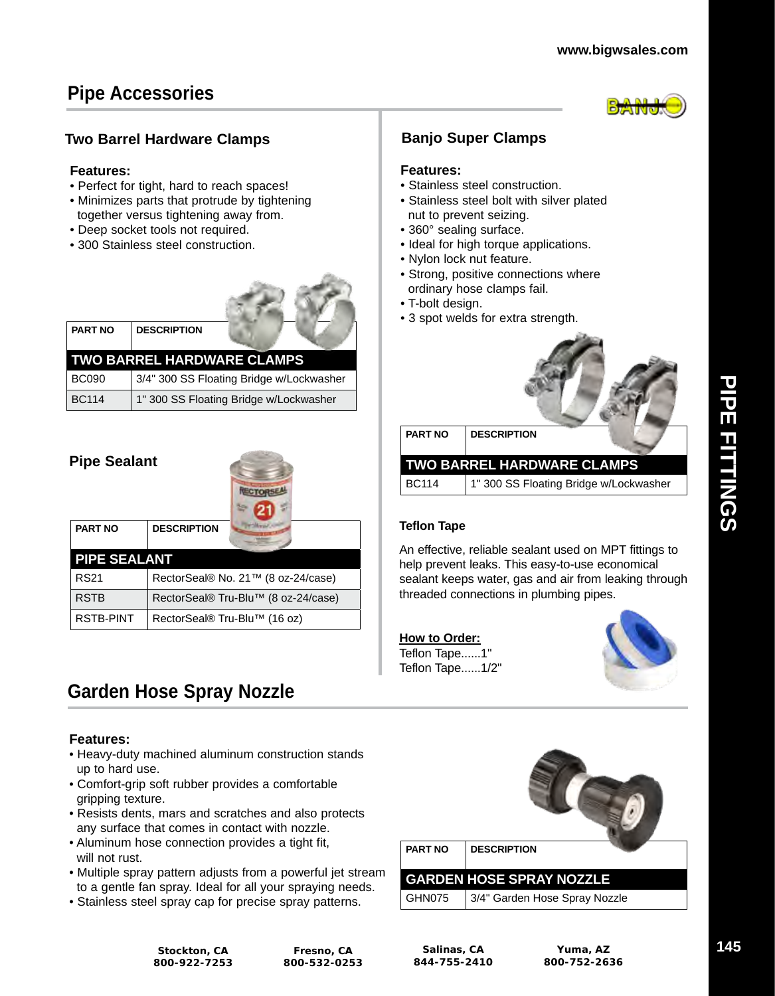## **Pipe Accessories**



#### **Two Barrel Hardware Clamps Banjo Super Clamps**

#### **Features:**

- Perfect for tight, hard to reach spaces!
- Minimizes parts that protrude by tightening together versus tightening away from.
- Deep socket tools not required.
- 300 Stainless steel construction.



| <b>TWO BARREL HARDWARE CLAMPS</b> |                                          |  |  |  |  |
|-----------------------------------|------------------------------------------|--|--|--|--|
| <b>BC090</b>                      | 3/4" 300 SS Floating Bridge w/Lockwasher |  |  |  |  |
| <b>BC114</b>                      | 1" 300 SS Floating Bridge w/Lockwasher   |  |  |  |  |

| <b>Pipe Sealant</b> |                                     |  |  |  |  |  |  |
|---------------------|-------------------------------------|--|--|--|--|--|--|
| <b>PART NO</b>      | <b>DESCRIPTION</b>                  |  |  |  |  |  |  |
|                     | <b>PIPE SEALANT</b>                 |  |  |  |  |  |  |
| <b>RS21</b>         | RectorSeal® No. 21™ (8 oz-24/case)  |  |  |  |  |  |  |
| <b>RSTB</b>         | RectorSeal® Tru-Blu™ (8 oz-24/case) |  |  |  |  |  |  |
| <b>RSTB-PINT</b>    | RectorSeal® Tru-Blu™ (16 oz)        |  |  |  |  |  |  |

## **Garden Hose Spray Nozzle**

#### **Features:**

- Heavy-duty machined aluminum construction stands up to hard use.
- Comfort-grip soft rubber provides a comfortable gripping texture.
- Resists dents, mars and scratches and also protects any surface that comes in contact with nozzle.
- Aluminum hose connection provides a tight fit, will not rust.
- Multiple spray pattern adjusts from a powerful jet stream to a gentle fan spray. Ideal for all your spraying needs.
- Stainless steel spray cap for precise spray patterns.

#### **Features:**

- Stainless steel construction.
- Stainless steel bolt with silver plated nut to prevent seizing.
- 360° sealing surface.
- Ideal for high torque applications.
- Nylon lock nut feature.
- Strong, positive connections where ordinary hose clamps fail.
- T-bolt design.
- 3 spot welds for extra strength.



| <b>PART NO</b> | <b>DESCRIPTION</b>                     |
|----------------|----------------------------------------|
|                | <b>TWO BARREL HARDWARE CLAMPS</b>      |
| BC114          | 1" 300 SS Floating Bridge w/Lockwasher |

#### **Teflon Tape**

An effective, reliable sealant used on MPT fittings to help prevent leaks. This easy-to-use economical sealant keeps water, gas and air from leaking through threaded connections in plumbing pipes.

| How to Order:   |
|-----------------|
| Teflon Tape1"   |
| Teflon Tape1/2" |





**Stockton, CA 800-922-7253**

**Fresno, CA 800-532-0253**

**Salinas, CA 844-755-2410**

**Yuma, AZ 800-752-2636**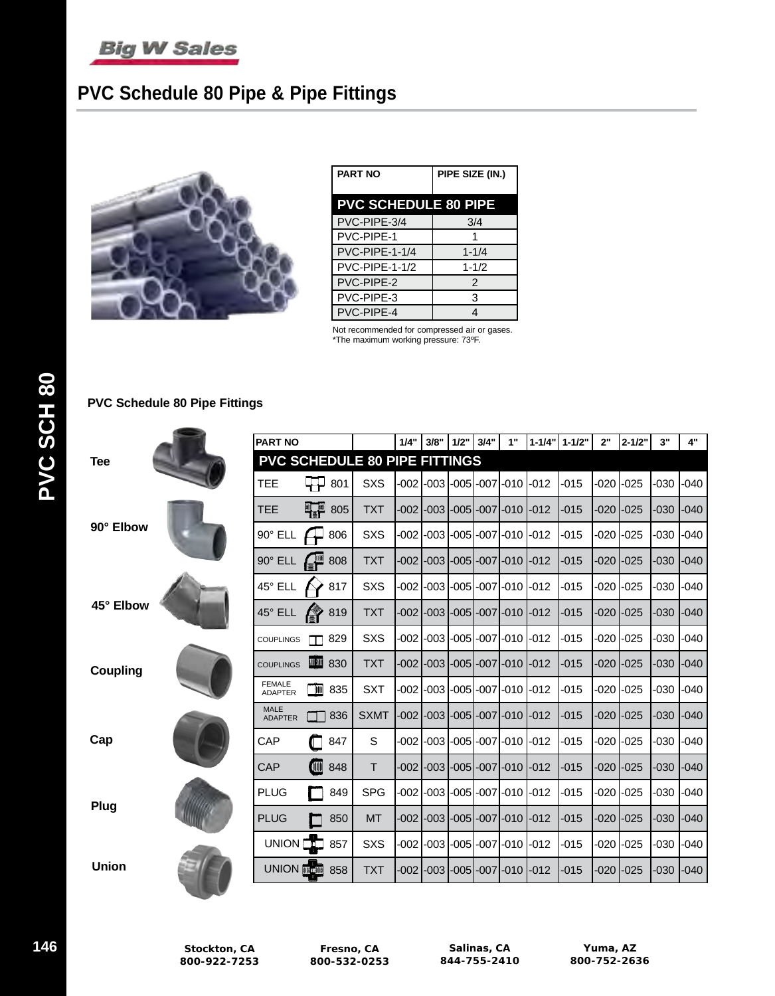

## **PVC Schedule 80 Pipe & Pipe Fittings**



| <b>PART NO</b>              | PIPE SIZE (IN.) |  |  |  |  |  |
|-----------------------------|-----------------|--|--|--|--|--|
| <b>PVC SCHEDULE 80 PIPE</b> |                 |  |  |  |  |  |
| PVC-PIPE-3/4                | 3/4             |  |  |  |  |  |
| PVC-PIPE-1                  | 1               |  |  |  |  |  |
| PVC-PIPE-1-1/4              | $1 - 1/4$       |  |  |  |  |  |
| <b>PVC-PIPE-1-1/2</b>       | $1 - 1/2$       |  |  |  |  |  |
| PVC-PIPE-2                  | $\mathcal{P}$   |  |  |  |  |  |
| PVC-PIPE-3                  | 3               |  |  |  |  |  |
| PVC-PIPE-4                  | 4               |  |  |  |  |  |

Not recommended for compressed air or gases. \*The maximum working pressure: 73ºF.

#### **PVC Schedule 80 Pipe Fittings**

|                 | <b>PART NO</b> |                                 |                                      | 1/4"        | 3/8"   | 1/2" | 3/4" | 1" | $1 - 1/4"$                         | $1 - 1/2"$ | 2"     | $2 - 1/2"$ | 3"                 | 4"     |        |
|-----------------|----------------|---------------------------------|--------------------------------------|-------------|--------|------|------|----|------------------------------------|------------|--------|------------|--------------------|--------|--------|
| <b>Tee</b>      |                |                                 | <b>PVC SCHEDULE 80 PIPE FITTINGS</b> |             |        |      |      |    |                                    |            |        |            |                    |        |        |
|                 |                | <b>TEE</b>                      | ⋤⋥<br>801                            | <b>SXS</b>  | $-002$ |      |      |    | $-003$ $-005$ $-007$ $-010$ $-012$ |            | $-015$ | $-020$     | $-025$             | $-030$ | $-040$ |
|                 |                | TEE                             | W <sub>e</sub> w<br>805              | <b>TXT</b>  | -002 l |      |      |    | -003 -005 -007 -010                | $-012$     | $-015$ | -020 l     | $-025$             | $-030$ | $-040$ |
| 90° Elbow       |                | $90^\circ$ ELL                  | 806                                  | <b>SXS</b>  | $-002$ |      |      |    |                                    | $-012$     | -015   | -020       | $-025$             | $-030$ | $-040$ |
|                 |                | $90^\circ$ ELL                  | 808                                  | <b>TXT</b>  |        |      |      |    | -002 -003 -005 -007 -010 -012      |            | $-015$ | -020       | $-025$             | $-030$ | $-040$ |
|                 |                | 45° ELL                         | 817                                  | <b>SXS</b>  |        |      |      |    |                                    |            | $-015$ |            | -020 <b>l</b> -025 | $-030$ | $-040$ |
| 45° Elbow       |                | 45° ELL                         | 819                                  | <b>TXT</b>  | $-002$ |      |      |    | -003 -005 -007 -010 -012           |            | $-015$ | -020 l     | $-025$             | $-030$ | $-040$ |
|                 |                | <b>COUPLINGS</b>                | 829<br>m                             | <b>SXS</b>  | $-002$ |      |      |    | -003 -005 -007 -010 -012           |            | $-015$ |            |                    | -030   | $-040$ |
| <b>Coupling</b> |                | <b>COUPLINGS</b>                | ■ 830                                | <b>TXT</b>  | -0021  |      |      |    | -003 -005 -007 -010 -012           |            | $-015$ |            | -020 <b>l</b> -025 | $-030$ | $-040$ |
|                 |                | <b>FEMALE</b><br><b>ADAPTER</b> | T<br>835                             | <b>SXT</b>  | $-002$ |      |      |    |                                    | $-012$     | $-015$ | $-020$     | $-025$             | $-030$ | $-040$ |
|                 |                | <b>MALE</b><br><b>ADAPTER</b>   | 836                                  | <b>SXMT</b> | -0021  |      |      |    | -003 -005 -007 -010 -012           |            | $-015$ | -020 l     | $-025$             | $-030$ | $-040$ |
| Cap             |                | CAP                             | 847                                  | S           |        |      |      |    |                                    |            | $-015$ |            | -020 <b>l</b> -025 | $-030$ | $-040$ |
|                 |                | CAP                             | <b>OND</b><br>848                    | T.          | $-002$ |      |      |    | -003 -005 -007 -010 -012           |            | $-015$ |            | -020 <b>l</b> -025 | $-030$ | $-040$ |
| Plug            |                | <b>PLUG</b>                     | 849                                  | <b>SPG</b>  | $-002$ |      |      |    | -003 -005 -007 -010 -012           |            | $-015$ | -020 l     | $-025$             | -030   | $-040$ |
|                 |                | <b>PLUG</b>                     | 850                                  | <b>MT</b>   | -002 l |      |      |    | -003 -005 -007 -010 -012           |            | $-015$ |            | -020  -025         | $-030$ | $-040$ |
|                 |                | <b>UNION</b>                    | T.<br>857                            | <b>SXS</b>  | $-002$ |      |      |    | -0031-0051-0071-0101-012           |            | $-015$ | -020 l     | $-025$             | $-030$ | $-040$ |
| <b>Union</b>    |                | <b>UNION</b>                    | 侧部内侧<br>858                          | <b>TXT</b>  | $-002$ |      |      |    | -0031-0051-0071-010                | $-012$     | $-015$ | $-020$     | $-025$             | $-030$ | $-040$ |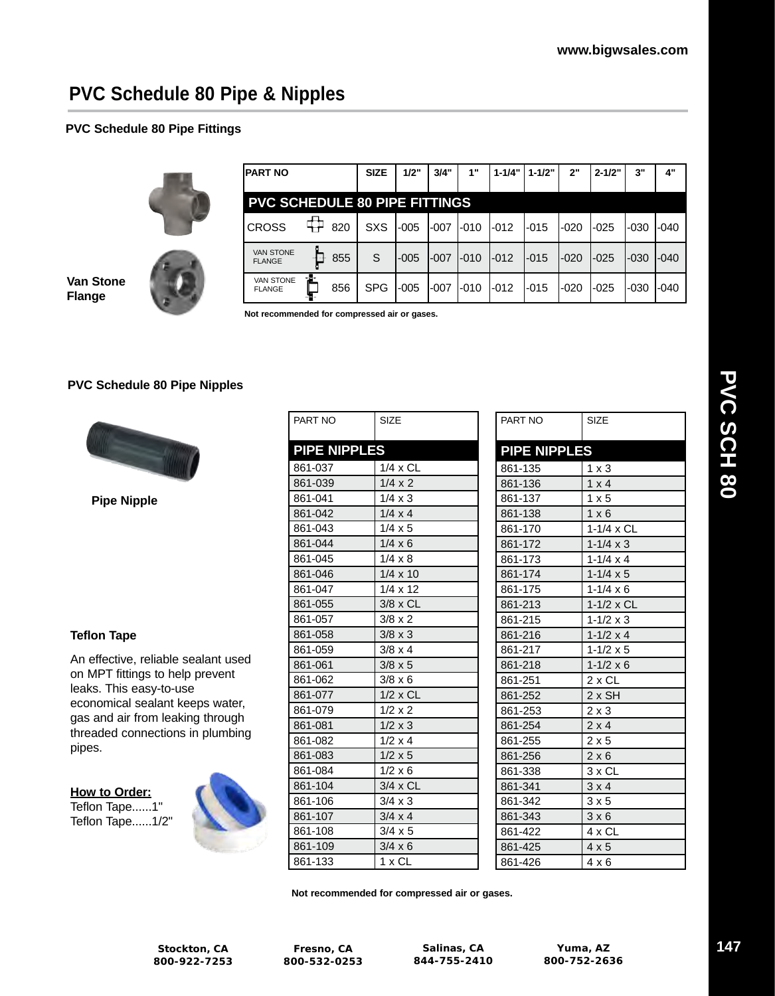## **PVC Schedule 80 Pipe & Nipples**

#### **PVC Schedule 80 Pipe Fittings**



| IPART NO                          |                                      | <b>SIZE</b> | 1/2"   | 3/4"   | 1"        | $1 - 1/4"$ | $1 - 1/2"$ | 2"     | $2 - 1/2"$ | 3"    | 4"     |
|-----------------------------------|--------------------------------------|-------------|--------|--------|-----------|------------|------------|--------|------------|-------|--------|
|                                   | <b>PVC SCHEDULE 80 PIPE FITTINGS</b> |             |        |        |           |            |            |        |            |       |        |
| <b>CROSS</b>                      | 820                                  | <b>SXS</b>  | $-005$ | -007   | I-010     | $-012$     | l-015      | -020   | $-025$     | -030  | -040   |
| <b>VAN STONE</b><br><b>FLANGE</b> | 855                                  | S           | -005   | $-007$ | $I - 010$ | $-012$     | -015       | $-020$ | $-025$     | l-030 | $-040$ |
| <b>VAN STONE</b><br><b>FLANGE</b> | $-10-$<br>856                        | <b>SPG</b>  | $-005$ | l-007  | I-010     | -012       | l-015      | -020   | -025       | -030  | -040   |

**Van Stone Flange**

**Not recommended for compressed air or gases.**

#### **PVC Schedule 80 Pipe Nipples**



**Pipe Nipple**

#### **Teflon Tape**

An effective, reliable sealant used on MPT fittings to help prevent leaks. This easy-to-use economical sealant keeps water, gas and air from leaking through threaded connections in plumbing pipes.

**How to Order:** Teflon Tape......1" Teflon Tape......1/2"



| PART NO             | <b>SIZE</b>     |
|---------------------|-----------------|
| <b>PIPE NIPPLES</b> |                 |
| 861-037             | 1/4 x CL        |
| 861-039             | $1/4 \times 2$  |
| 861-041             | $1/4 \times 3$  |
| 861-042             | $1/4 \times 4$  |
| 861-043             | $1/4 \times 5$  |
| 861-044             | $1/4 \times 6$  |
| 861-045             | $1/4 \times 8$  |
| 861-046             | $1/4 \times 10$ |
| 861-047             | $1/4 \times 12$ |
| 861-055             | $3/8 \times CL$ |
| 861-057             | $3/8 \times 2$  |
| 861-058             | $3/8 \times 3$  |
| 861-059             | $3/8 \times 4$  |
| 861-061             | $3/8 \times 5$  |
| 861-062             | $3/8 \times 6$  |
| 861-077             | 1/2 x CL        |
| 861-079             | $1/2 \times 2$  |
| 861-081             | $1/2 \times 3$  |
| 861-082             | $1/2 \times 4$  |
| 861-083             | $1/2 \times 5$  |
| 861-084             | $1/2 \times 6$  |
| 861-104             | 3/4 x CL        |
| 861-106             | $3/4 \times 3$  |
| 861-107             | $3/4 \times 4$  |
| 861-108             | 3/4 x 5         |
| 861-109             | $3/4 \times 6$  |
| 861-133             | 1 x CL          |

| PART NO             | <b>SIZE</b>        |  |  |
|---------------------|--------------------|--|--|
| <b>PIPE NIPPLES</b> |                    |  |  |
| 861-135             | $1 \times 3$       |  |  |
| 861-136             | $1 \times 4$       |  |  |
| 861-137             | $1 \times 5$       |  |  |
| 861-138             | $1 \times 6$       |  |  |
| 861-170             | 1-1/4 x CL         |  |  |
| 861-172             | $1 - 1/4 \times 3$ |  |  |
| 861-173             | $1 - 1/4 \times 4$ |  |  |
| 861-174             | $1 - 1/4 \times 5$ |  |  |
| 861-175             | $1 - 1/4 \times 6$ |  |  |
| 861-213             | $1-1/2 \times CL$  |  |  |
| 861-215             | $1 - 1/2 \times 3$ |  |  |
| 861-216             | 1-1/2 $\times$ 4   |  |  |
| 861-217             | $1 - 1/2 \times 5$ |  |  |
| 861-218             | $1 - 1/2 \times 6$ |  |  |
| 861-251             | $2 \times CL$      |  |  |
| 861-252             | $2x$ SH            |  |  |
| 861-253             | $2 \times 3$       |  |  |
| 861-254             | $2 \times 4$       |  |  |
| 861-255             | $2 \times 5$       |  |  |
| 861-256             | $2 \times 6$       |  |  |
| 861-338             | 3 x CL             |  |  |
| 861-341             | $3 \times 4$       |  |  |
| 861-342             | 3x5                |  |  |
| 861-343             | 3 × 6              |  |  |
| 861-422             | 4 x CL             |  |  |
| 861-425             | $4 \times 5$       |  |  |
| 861-426             | $4 \times 6$       |  |  |

**Not recommended for compressed air or gases.**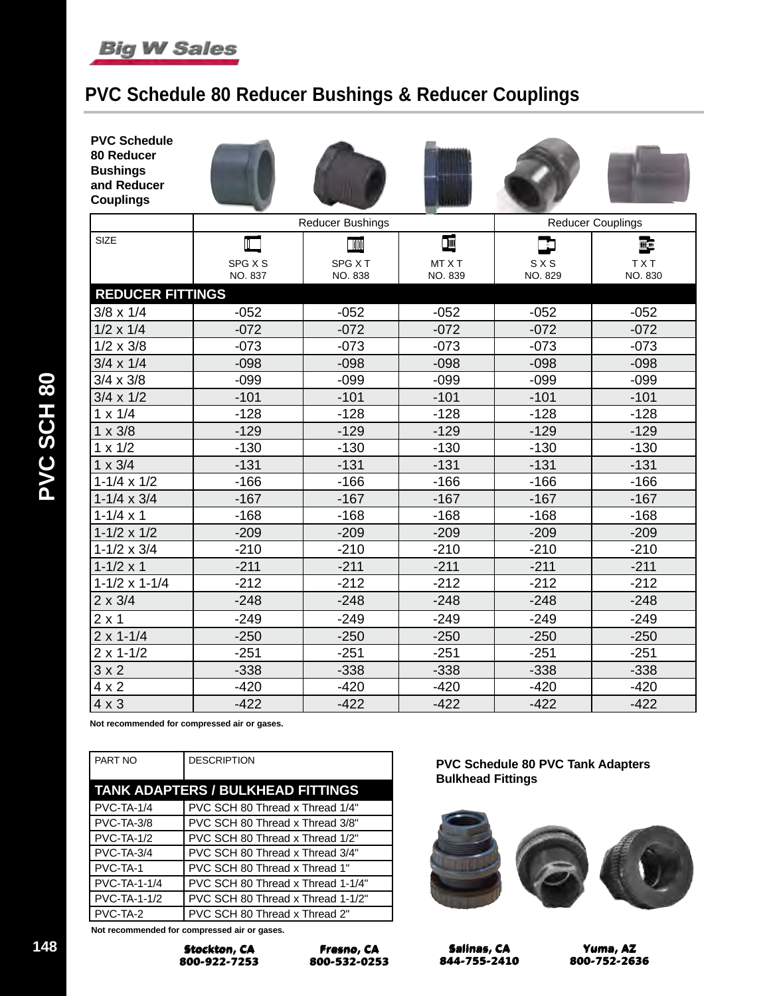

## **PVC Schedule 80 Reducer Bushings & Reducer Couplings**

| <b>PVC Schedule</b><br>80 Reducer<br><b>Bushings</b><br>and Reducer<br><b>Couplings</b> |                    |                         |                   |                  |                          |  |  |
|-----------------------------------------------------------------------------------------|--------------------|-------------------------|-------------------|------------------|--------------------------|--|--|
|                                                                                         |                    | <b>Reducer Bushings</b> |                   |                  | <b>Reducer Couplings</b> |  |  |
| <b>SIZE</b>                                                                             | $\blacksquare$     | TIN                     | I                 |                  | 豐                        |  |  |
|                                                                                         | SPG X S<br>NO. 837 | SPG X T<br>NO. 838      | MT X T<br>NO. 839 | S X S<br>NO. 829 | <b>TXT</b><br>NO. 830    |  |  |
| <b>REDUCER FITTINGS</b>                                                                 |                    |                         |                   |                  |                          |  |  |
| $3/8 \times 1/4$                                                                        | $-052$             | $-052$                  | $-052$            | $-052$           | $-052$                   |  |  |
| $1/2 \times 1/4$                                                                        | $-072$             | $-072$                  | $-072$            | $-072$           | $-072$                   |  |  |
| $1/2 \times 3/8$                                                                        | $-073$             | $-073$                  | $-073$            | $-073$           | $-073$                   |  |  |
| $3/4 \times 1/4$                                                                        | $-098$             | $-098$                  | $-098$            | $-098$           | $-098$                   |  |  |
| $3/4 \times 3/8$                                                                        | $-099$             | $-099$                  | $-099$            | $-099$           | $-099$                   |  |  |
| $3/4 \times 1/2$                                                                        | $-101$             | $-101$                  | $-101$            | $-101$           | $-101$                   |  |  |
| $1 \times 1/4$                                                                          | $-128$             | $-128$                  | $-128$            | $-128$           | $-128$                   |  |  |
| $1 \times 3/8$                                                                          | $-129$             | $-129$                  | $-129$            | $-129$           | $-129$                   |  |  |
| $1 \times 1/2$                                                                          | $-130$             | $-130$                  | $-130$            | $-130$           | $-130$                   |  |  |
| $1 \times 3/4$                                                                          | $-131$             | $-131$                  | $-131$            | $-131$           | $-131$                   |  |  |
| $1-1/4 \times 1/2$                                                                      | $-166$             | $-166$                  | $-166$            | $-166$           | $-166$                   |  |  |
| $1 - 1/4 \times 3/4$                                                                    | $-167$             | $-167$                  | $-167$            | $-167$           | $-167$                   |  |  |
| $1 - 1/4 \times 1$                                                                      | $-168$             | $-168$                  | $-168$            | $-168$           | $-168$                   |  |  |
| $1 - 1/2 \times 1/2$                                                                    | $-209$             | $-209$                  | $-209$            | $-209$           | $-209$                   |  |  |
| $1 - 1/2 \times 3/4$                                                                    | $-210$             | $-210$                  | $-210$            | $-210$           | $-210$                   |  |  |
| $1 - 1/2 \times 1$                                                                      | $-211$             | $-211$                  | $-211$            | $-211$           | $-211$                   |  |  |
| $1-1/2 \times 1-1/4$                                                                    | $-212$             | $-212$                  | $-212$            | $-212$           | $-212$                   |  |  |
| $2 \times 3/4$                                                                          | $-248$             | $-248$                  | $-248$            | $-248$           | $-248$                   |  |  |
| $2 \times 1$                                                                            | $-249$             | $-249$                  | $-249$            | $-249$           | $-249$                   |  |  |
| $2 \times 1 - 1/4$                                                                      | $-250$             | $-250$                  | $-250$            | $-250$           | $-250$                   |  |  |
| $2 \times 1 - 1/2$                                                                      | $-251$             | $-251$                  | $-251$            | $-251$           | $-251$                   |  |  |
| 3 × 2                                                                                   | $-338$             | $-338$                  | $-338$            | $-338$           | $-338$                   |  |  |
| $4 \times 2$                                                                            | $-420$             | $-420$                  | $-420$            | $-420$           | $-420$                   |  |  |
| $4 \times 3$                                                                            | $-422$             | $-422$                  | $-422$            | $-422$           | $-422$                   |  |  |

**Not recommended for compressed air or gases.**

| PART NO             | <b>DESCRIPTION</b>                       |
|---------------------|------------------------------------------|
|                     | <b>TANK ADAPTERS / BULKHEAD FITTINGS</b> |
| <b>PVC-TA-1/4</b>   | PVC SCH 80 Thread x Thread 1/4"          |
| PVC-TA-3/8          | PVC SCH 80 Thread x Thread 3/8"          |
| $PVC-TA-1/2$        | PVC SCH 80 Thread x Thread 1/2"          |
| PVC-TA-3/4          | PVC SCH 80 Thread x Thread 3/4"          |
| PVC-TA-1            | PVC SCH 80 Thread x Thread 1"            |
| <b>PVC-TA-1-1/4</b> | PVC SCH 80 Thread x Thread 1-1/4"        |
| <b>PVC-TA-1-1/2</b> | PVC SCH 80 Thread x Thread 1-1/2"        |
| PVC-TA-2            | PVC SCH 80 Thread x Thread 2"            |

**Not recommended for compressed air or gases.**



**Fresno, CA Fresno, CA 800-532-0253 800-532-0253** **PVC Schedule 80 PVC Tank Adapters Bulkhead Fittings**



**Salinas, CA Salinas, CA 844-755-2410 844-755-2410**

**Yuma, AZ Yuma, AZ 800-752-2636 800-752-2636**